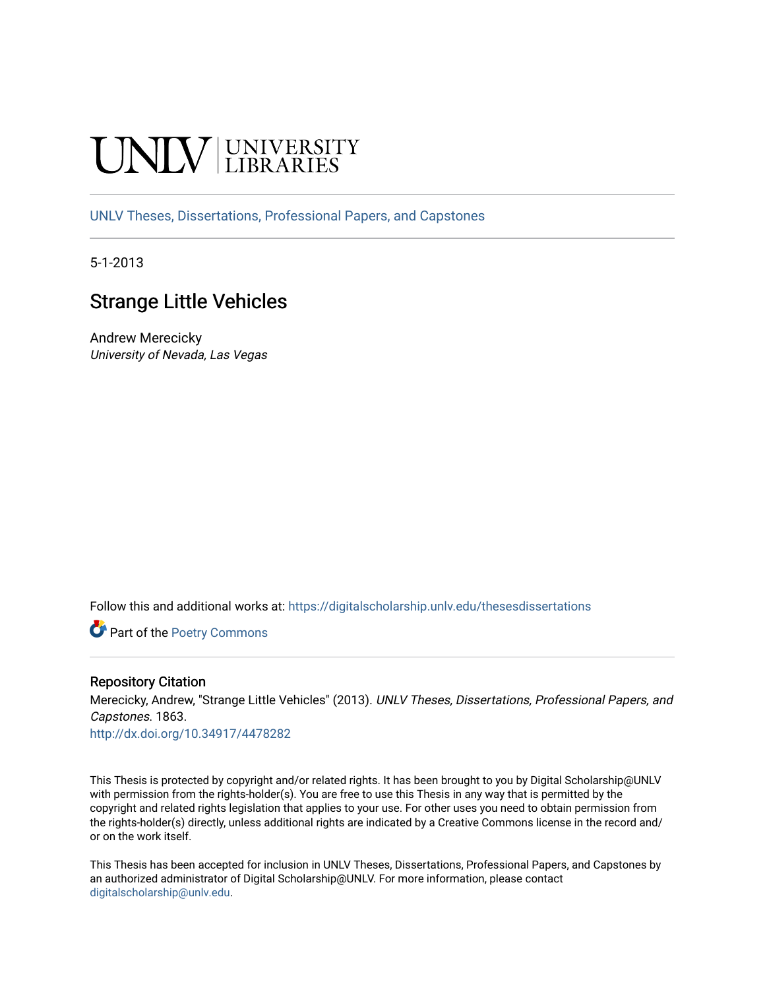# **INIVERSITY**

[UNLV Theses, Dissertations, Professional Papers, and Capstones](https://digitalscholarship.unlv.edu/thesesdissertations)

5-1-2013

# Strange Little Vehicles

Andrew Merecicky University of Nevada, Las Vegas

Follow this and additional works at: [https://digitalscholarship.unlv.edu/thesesdissertations](https://digitalscholarship.unlv.edu/thesesdissertations?utm_source=digitalscholarship.unlv.edu%2Fthesesdissertations%2F1863&utm_medium=PDF&utm_campaign=PDFCoverPages)

Part of the [Poetry Commons](http://network.bepress.com/hgg/discipline/1153?utm_source=digitalscholarship.unlv.edu%2Fthesesdissertations%2F1863&utm_medium=PDF&utm_campaign=PDFCoverPages) 

### Repository Citation

Merecicky, Andrew, "Strange Little Vehicles" (2013). UNLV Theses, Dissertations, Professional Papers, and Capstones. 1863.

<http://dx.doi.org/10.34917/4478282>

This Thesis is protected by copyright and/or related rights. It has been brought to you by Digital Scholarship@UNLV with permission from the rights-holder(s). You are free to use this Thesis in any way that is permitted by the copyright and related rights legislation that applies to your use. For other uses you need to obtain permission from the rights-holder(s) directly, unless additional rights are indicated by a Creative Commons license in the record and/ or on the work itself.

This Thesis has been accepted for inclusion in UNLV Theses, Dissertations, Professional Papers, and Capstones by an authorized administrator of Digital Scholarship@UNLV. For more information, please contact [digitalscholarship@unlv.edu](mailto:digitalscholarship@unlv.edu).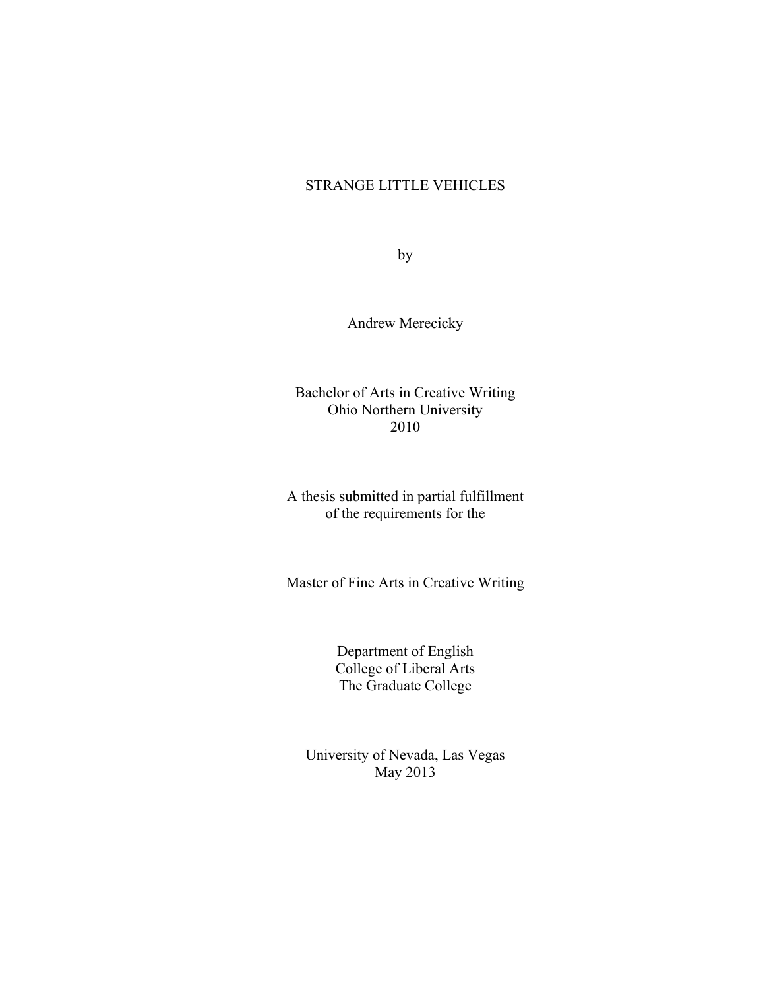# STRANGE LITTLE VEHICLES

by

Andrew Merecicky

Bachelor of Arts in Creative Writing Ohio Northern University 2010

A thesis submitted in partial fulfillment of the requirements for the

Master of Fine Arts in Creative Writing

Department of English College of Liberal Arts The Graduate College

University of Nevada, Las Vegas May 2013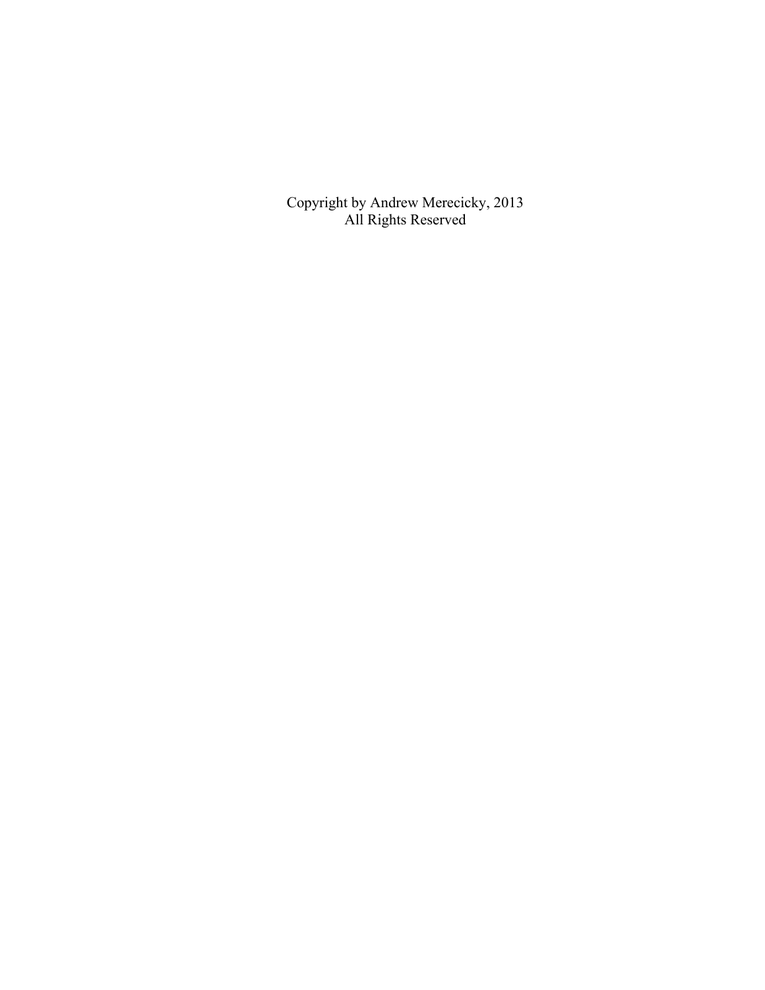Copyright by Andrew Merecicky, 2013 All Rights Reserved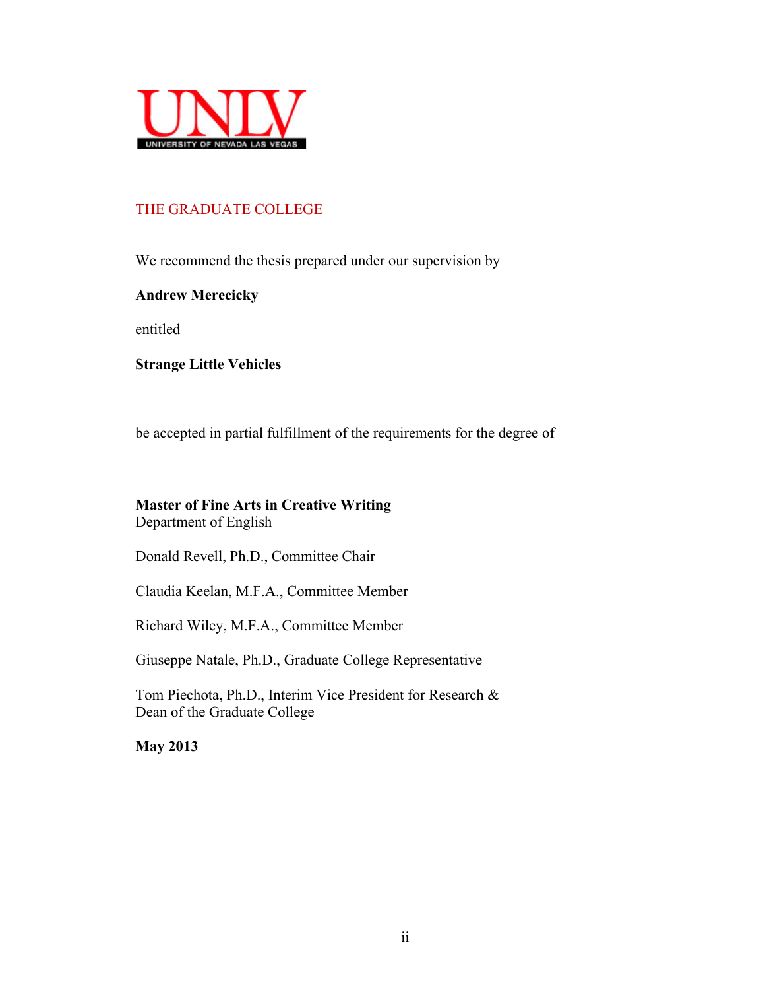

# THE GRADUATE COLLEGE

We recommend the thesis prepared under our supervision by

# **Andrew Merecicky**

entitled

**Strange Little Vehicles**

be accepted in partial fulfillment of the requirements for the degree of

# **Master of Fine Arts in Creative Writing** Department of English

Donald Revell, Ph.D., Committee Chair

Claudia Keelan, M.F.A., Committee Member

Richard Wiley, M.F.A., Committee Member

Giuseppe Natale, Ph.D., Graduate College Representative

Tom Piechota, Ph.D., Interim Vice President for Research & Dean of the Graduate College

**May 2013**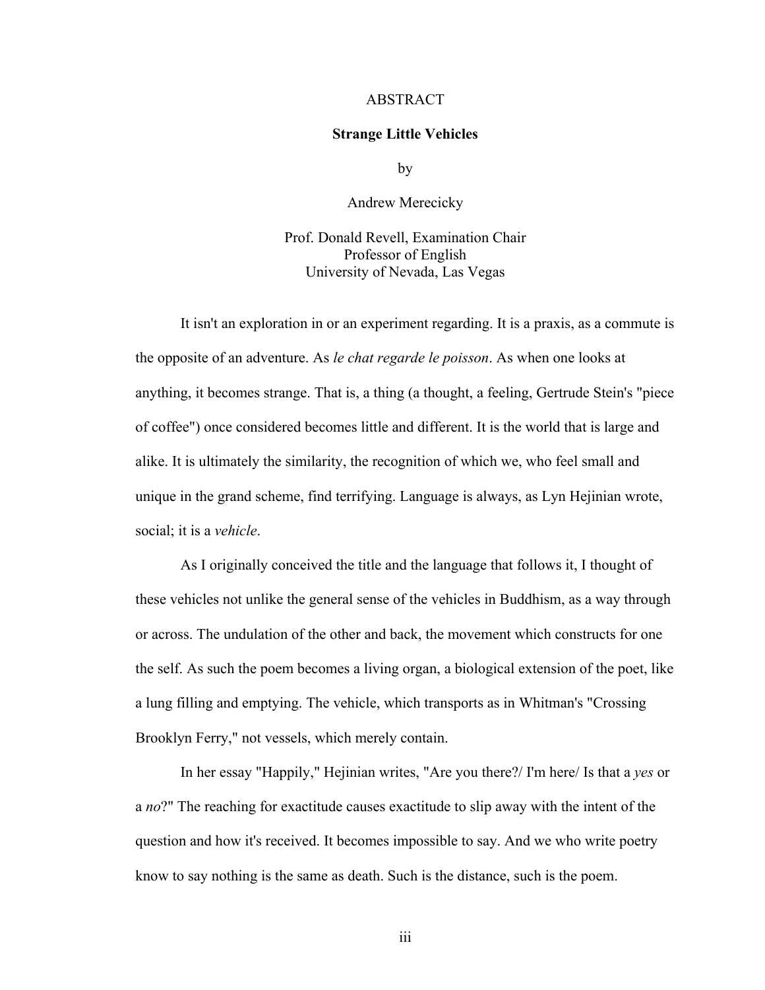#### **ABSTRACT**

#### **Strange Little Vehicles**

by

Andrew Merecicky

Prof. Donald Revell, Examination Chair Professor of English University of Nevada, Las Vegas

It isn't an exploration in or an experiment regarding. It is a praxis, as a commute is the opposite of an adventure. As *le chat regarde le poisson*. As when one looks at anything, it becomes strange. That is, a thing (a thought, a feeling, Gertrude Stein's "piece of coffee") once considered becomes little and different. It is the world that is large and alike. It is ultimately the similarity, the recognition of which we, who feel small and unique in the grand scheme, find terrifying. Language is always, as Lyn Hejinian wrote, social; it is a *vehicle*.

As I originally conceived the title and the language that follows it, I thought of these vehicles not unlike the general sense of the vehicles in Buddhism, as a way through or across. The undulation of the other and back, the movement which constructs for one the self. As such the poem becomes a living organ, a biological extension of the poet, like a lung filling and emptying. The vehicle, which transports as in Whitman's "Crossing Brooklyn Ferry," not vessels, which merely contain.

In her essay "Happily," Hejinian writes, "Are you there?/ I'm here/ Is that a *yes* or a *no*?" The reaching for exactitude causes exactitude to slip away with the intent of the question and how it's received. It becomes impossible to say. And we who write poetry know to say nothing is the same as death. Such is the distance, such is the poem.

iii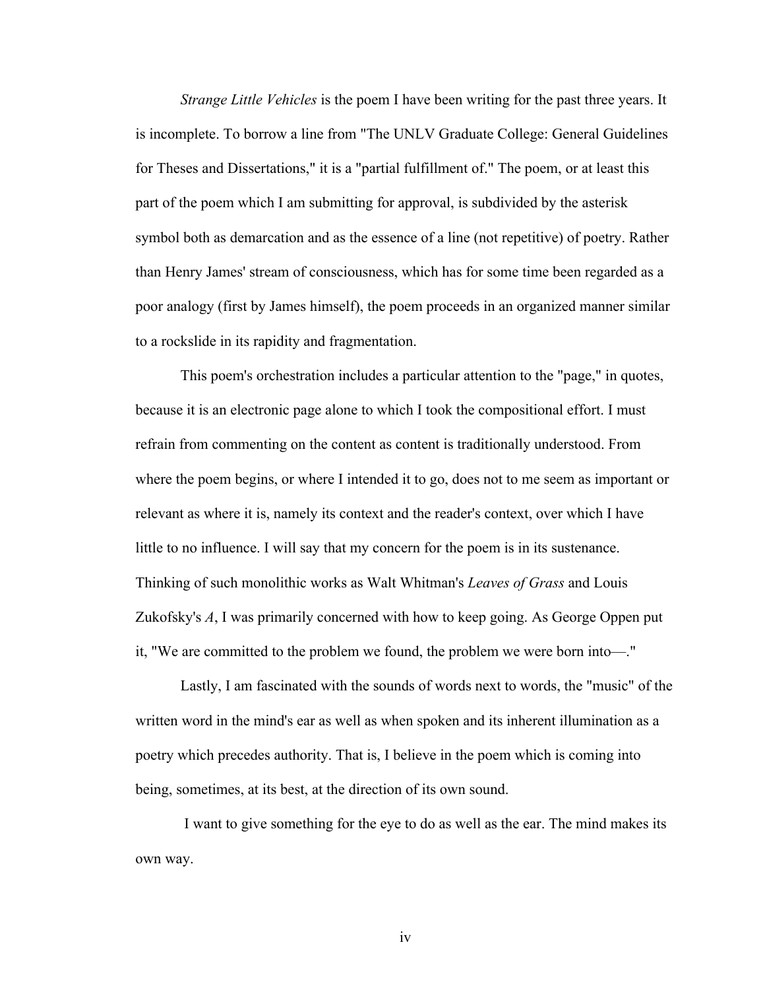*Strange Little Vehicles* is the poem I have been writing for the past three years. It is incomplete. To borrow a line from "The UNLV Graduate College: General Guidelines for Theses and Dissertations," it is a "partial fulfillment of." The poem, or at least this part of the poem which I am submitting for approval, is subdivided by the asterisk symbol both as demarcation and as the essence of a line (not repetitive) of poetry. Rather than Henry James' stream of consciousness, which has for some time been regarded as a poor analogy (first by James himself), the poem proceeds in an organized manner similar to a rockslide in its rapidity and fragmentation.

This poem's orchestration includes a particular attention to the "page," in quotes, because it is an electronic page alone to which I took the compositional effort. I must refrain from commenting on the content as content is traditionally understood. From where the poem begins, or where I intended it to go, does not to me seem as important or relevant as where it is, namely its context and the reader's context, over which I have little to no influence. I will say that my concern for the poem is in its sustenance. Thinking of such monolithic works as Walt Whitman's *Leaves of Grass* and Louis Zukofsky's *A*, I was primarily concerned with how to keep going. As George Oppen put it, "We are committed to the problem we found, the problem we were born into—."

Lastly, I am fascinated with the sounds of words next to words, the "music" of the written word in the mind's ear as well as when spoken and its inherent illumination as a poetry which precedes authority. That is, I believe in the poem which is coming into being, sometimes, at its best, at the direction of its own sound.

I want to give something for the eye to do as well as the ear. The mind makes its own way.

iv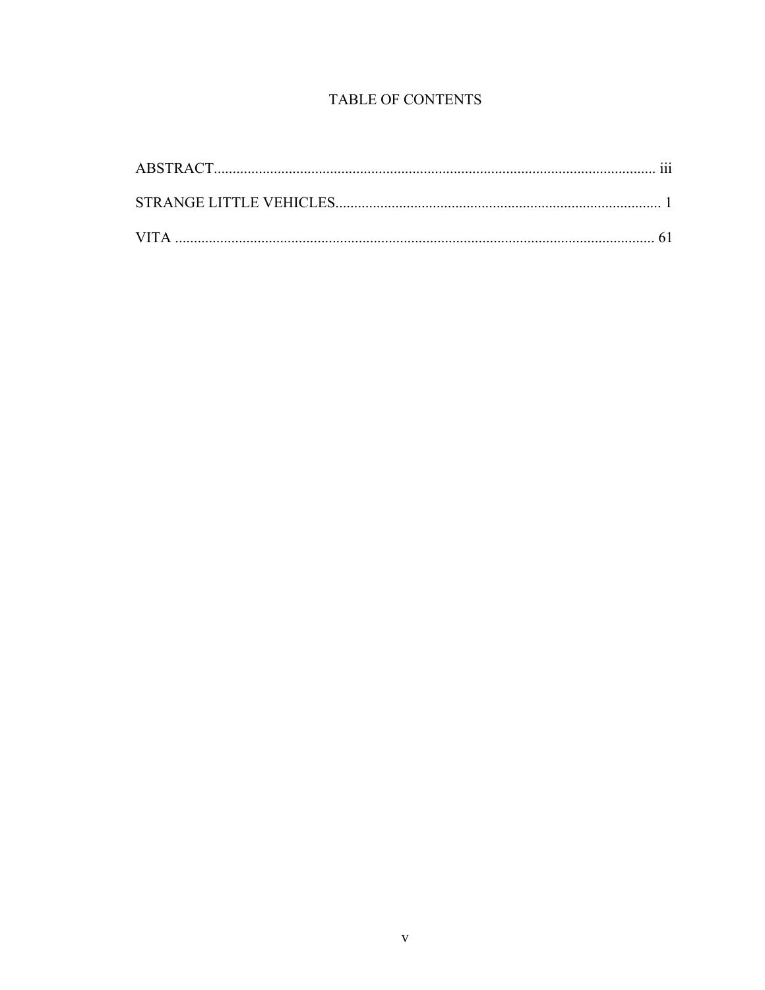# TABLE OF CONTENTS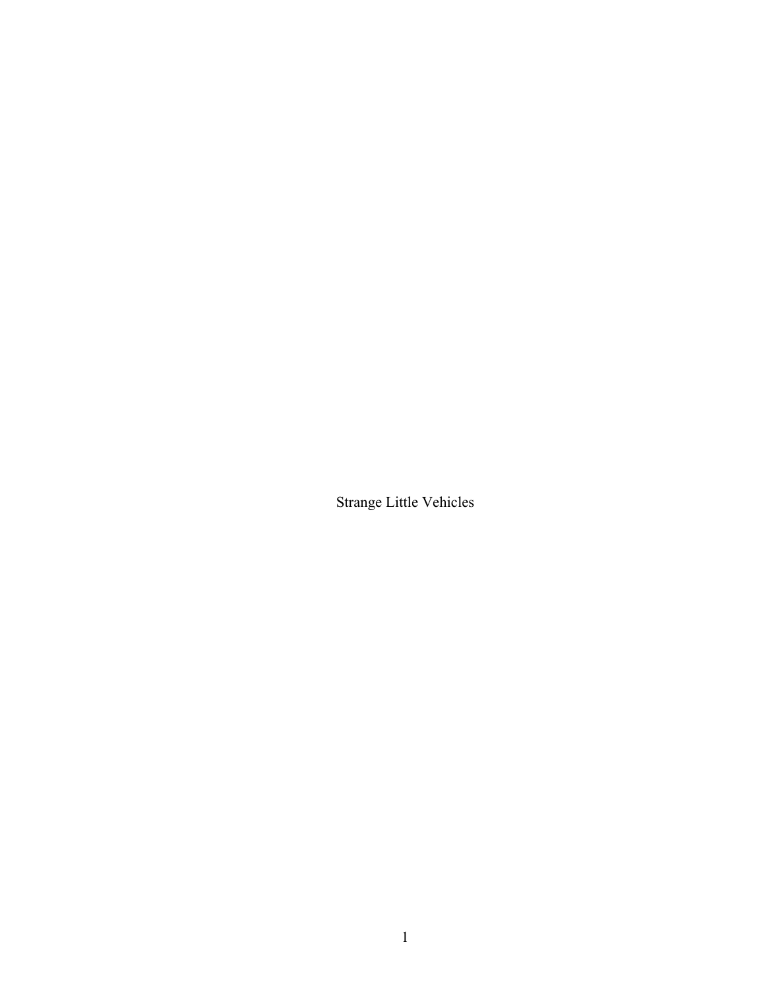Strange Little Vehicles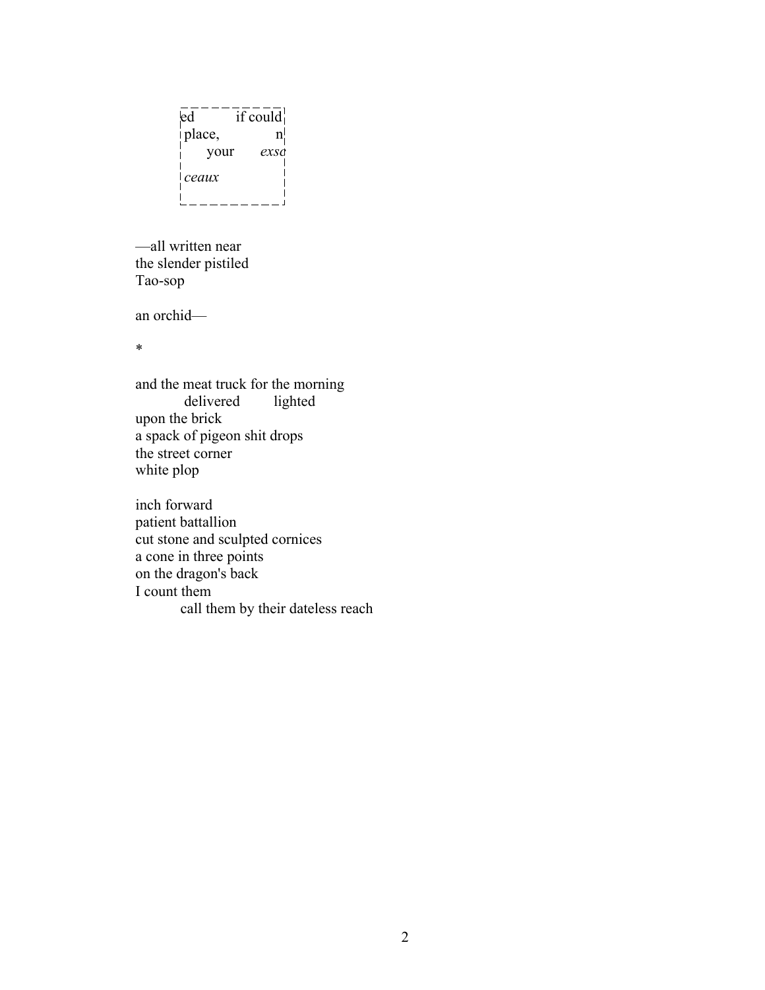```
\overline{ed}<sup>-----</sup>if could
|place, n| your exsc
                        \mathbf{I} ceaux
<u> L______</u>
                      \overline{a}
```
—all written near the slender pistiled Tao-sop

an orchid—

\*

and the meat truck for the morning<br>delivered lighted delivered upon the brick a spack of pigeon shit drops the street corner white plop

inch forward patient battallion cut stone and sculpted cornices a cone in three points on the dragon's back I count them call them by their dateless reach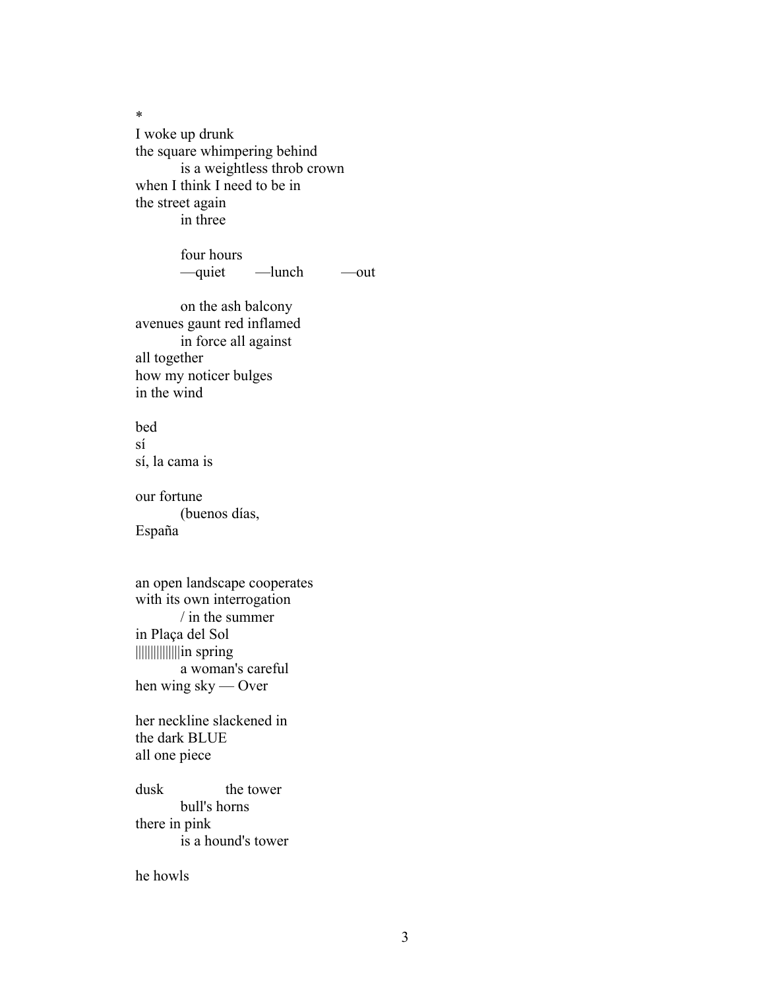\* I woke up drunk the square whimpering behind is a weightless throb crown when I think I need to be in the street again in three

> four hours —quiet —lunch —out

on the ash balcony avenues gaunt red inflamed in force all against all together how my noticer bulges in the wind

bed sí sí, la cama is

our fortune (buenos días, España

an open landscape cooperates with its own interrogation / in the summer in Plaça del Sol |||||||||||||||in spring a woman's careful hen wing sky — Over

her neckline slackened in the dark BLUE all one piece

dusk the tower bull's horns there in pink is a hound's tower

he howls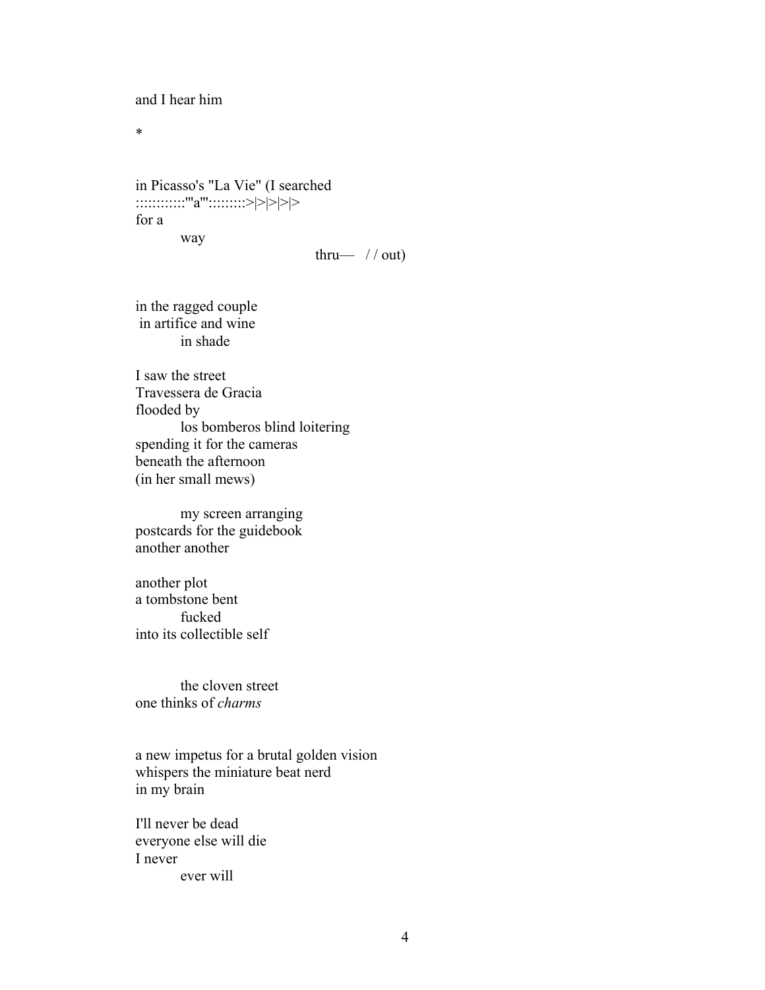and I hear him

\*

in Picasso's "La Vie" (I searched :::::::::::"a'''::::::::>|>|>|>|> for a way

thru—  $// out)$ 

in the ragged couple in artifice and wine in shade

I saw the street Travessera de Gracia flooded by los bomberos blind loitering spending it for the cameras beneath the afternoon (in her small mews)

my screen arranging postcards for the guidebook another another

another plot a tombstone bent fucked into its collectible self

the cloven street one thinks of *charms*

a new impetus for a brutal golden vision whispers the miniature beat nerd in my brain

I'll never be dead everyone else will die I never ever will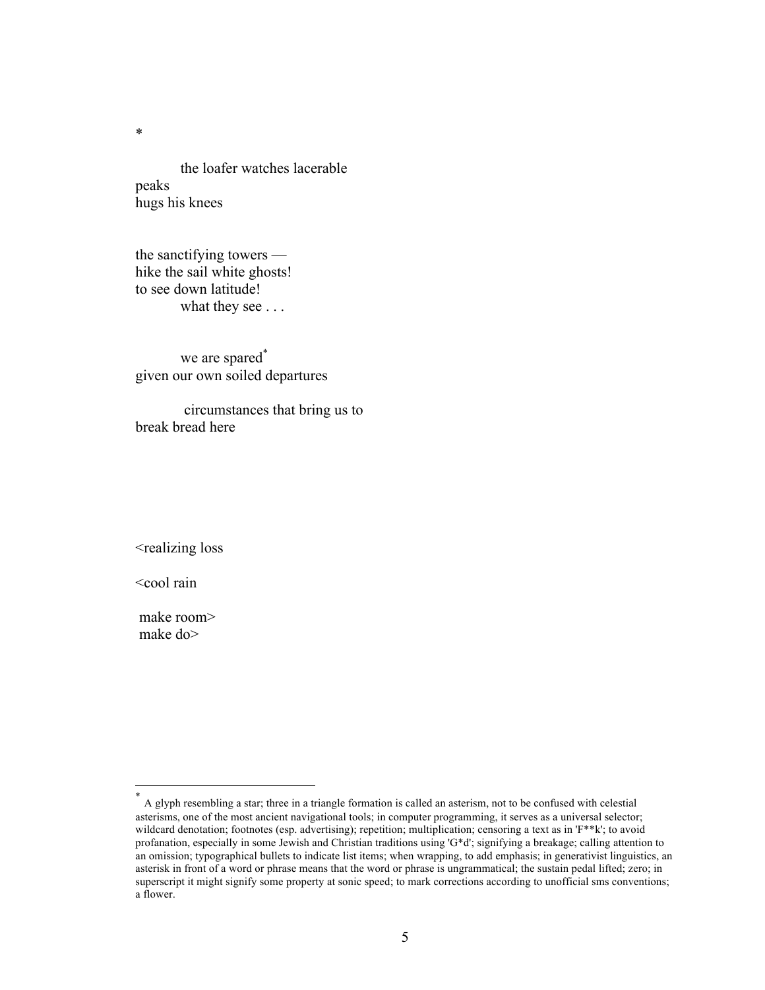the loafer watches lacerable peaks hugs his knees

the sanctifying towers hike the sail white ghosts! to see down latitude! what they see . . .

we are spared<sup>\*</sup> given our own soiled departures

circumstances that bring us to break bread here

<realizing loss

<cool rain

make room> make do>

 <sup>\*</sup> <sup>A</sup> glyph resembling a star; three in a triangle formation is called an asterism, not to be confused with celestial asterisms, one of the most ancient navigational tools; in computer programming, it serves as a universal selector; wildcard denotation; footnotes (esp. advertising); repetition; multiplication; censoring a text as in 'F\*\*k'; to avoid profanation, especially in some Jewish and Christian traditions using 'G\*d'; signifying a breakage; calling attention to an omission; typographical bullets to indicate list items; when wrapping, to add emphasis; in generativist linguistics, an asterisk in front of a word or phrase means that the word or phrase is ungrammatical; the sustain pedal lifted; zero; in superscript it might signify some property at sonic speed; to mark corrections according to unofficial sms conventions; a flower.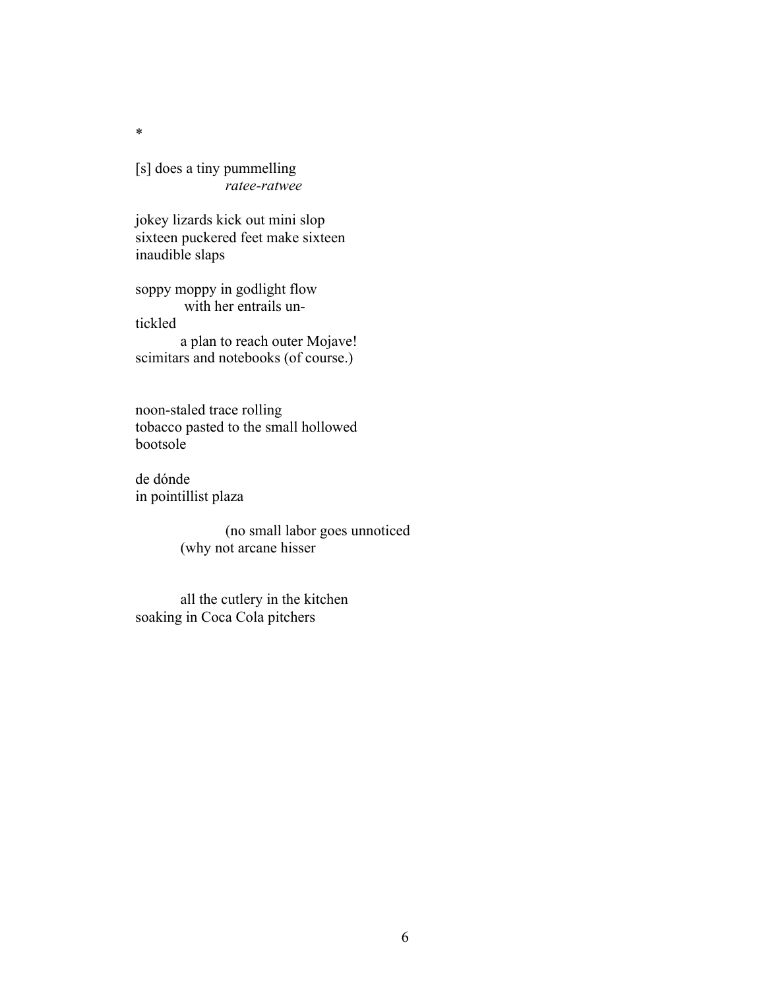[s] does a tiny pummelling *ratee-ratwee*

jokey lizards kick out mini slop sixteen puckered feet make sixteen inaudible slaps

soppy moppy in godlight flow with her entrails untickled

a plan to reach outer Mojave! scimitars and notebooks (of course.)

noon-staled trace rolling tobacco pasted to the small hollowed bootsole

de dónde in pointillist plaza

> (no small labor goes unnoticed (why not arcane hisser

all the cutlery in the kitchen soaking in Coca Cola pitchers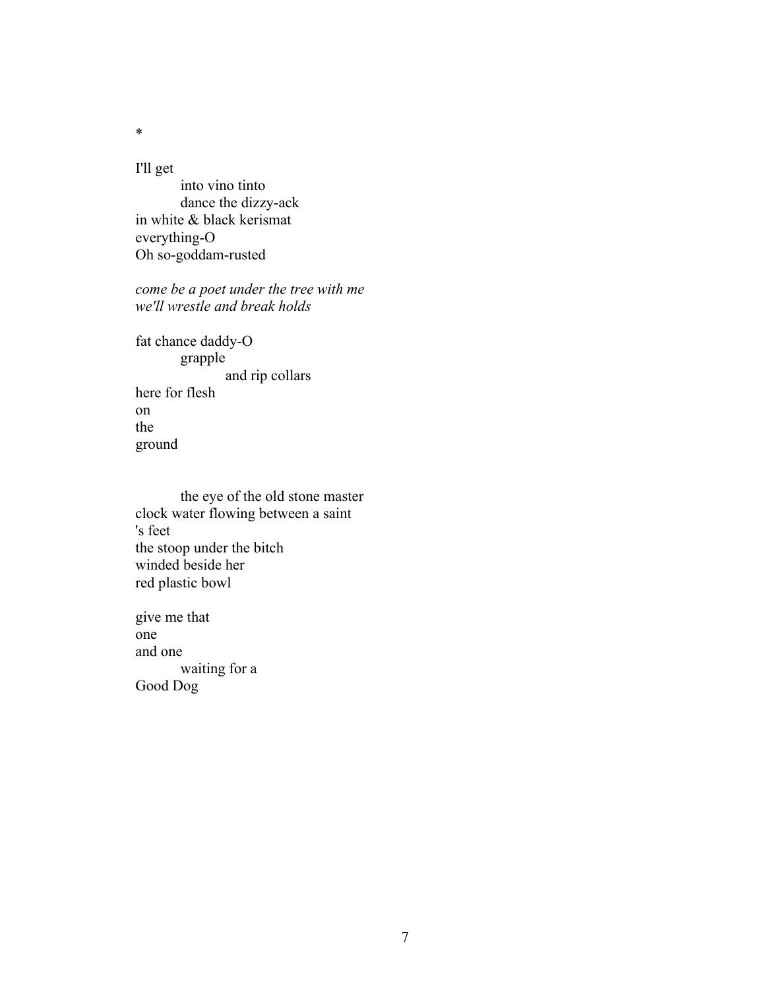I'll get

into vino tinto dance the dizzy-ack in white & black kerismat everything-O Oh so-goddam-rusted

*come be a poet under the tree with me we'll wrestle and break holds*

fat chance daddy-O grapple and rip collars here for flesh on the ground

the eye of the old stone master clock water flowing between a saint 's feet the stoop under the bitch winded beside her red plastic bowl

give me that one and one waiting for a Good Dog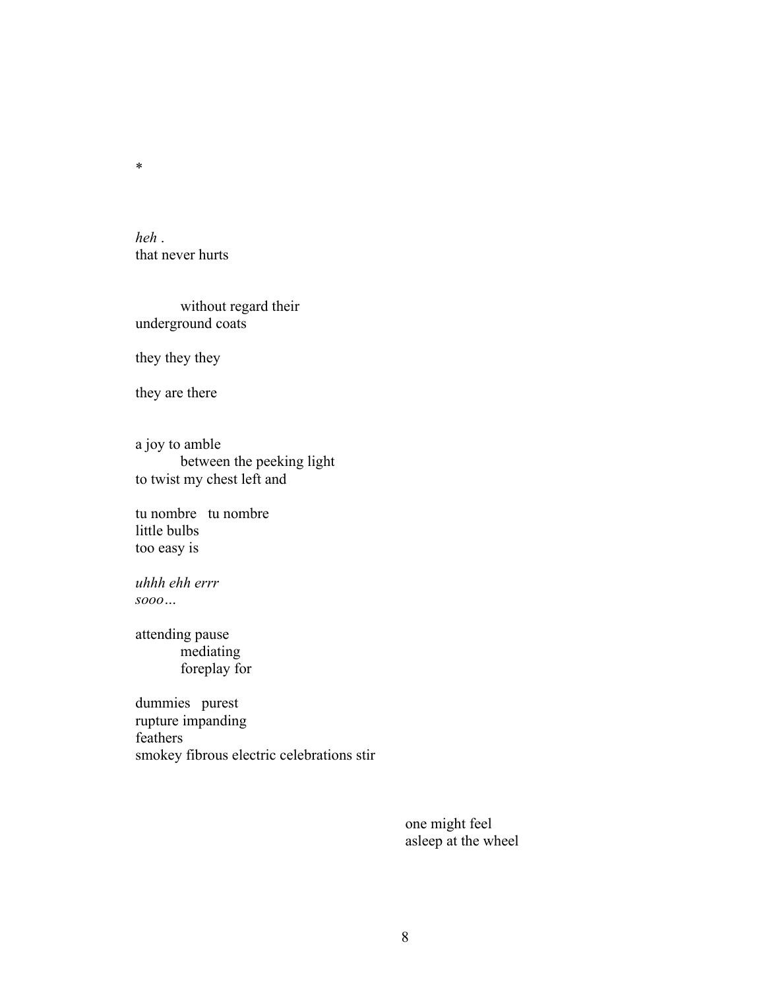*heh* . that never hurts

without regard their underground coats

they they they

they are there

a joy to amble between the peeking light to twist my chest left and

tu nombre tu nombre little bulbs too easy is

*uhhh ehh errr sooo…*

attending pause mediating foreplay for

dummies purest rupture impanding feathers smokey fibrous electric celebrations stir

> one might feel asleep at the wheel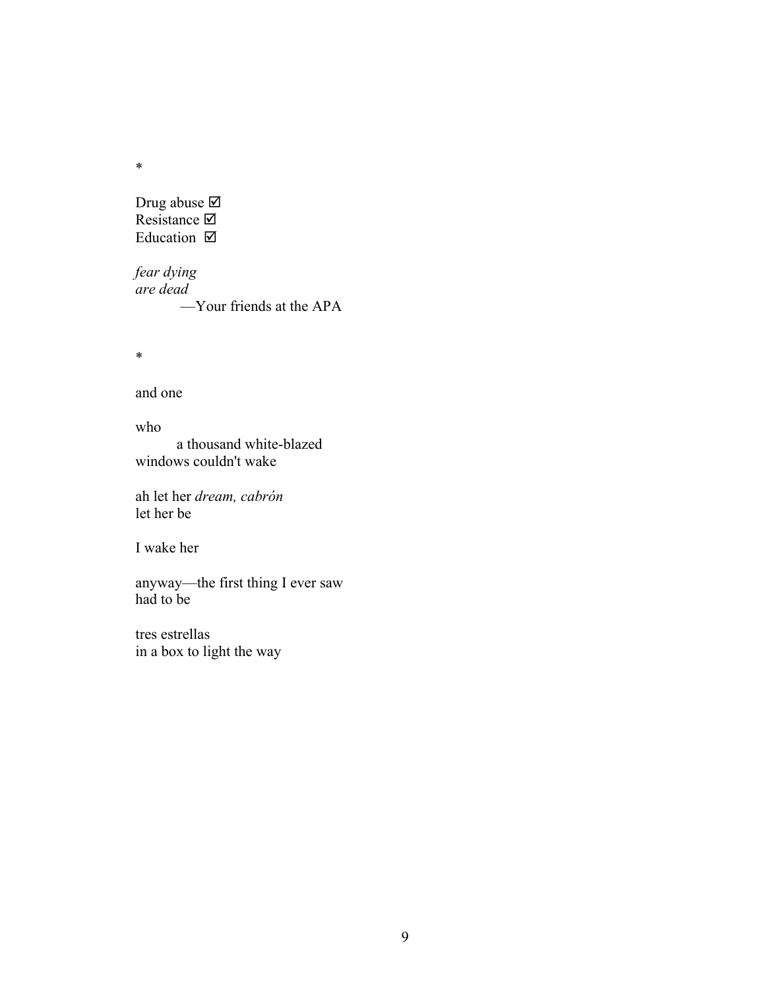Drug abuse $\overline{\boxtimes}$ Resistance  $\boxtimes$ Education  $\boxtimes$ 

*fear dying are dead* —Your friends at the APA

\*

and one

who

 a thousand white-blazed windows couldn't wake

ah let her *dream, cabrón* let her be

I wake her

anyway—the first thing I ever saw had to be

tres estrellas in a box to light the way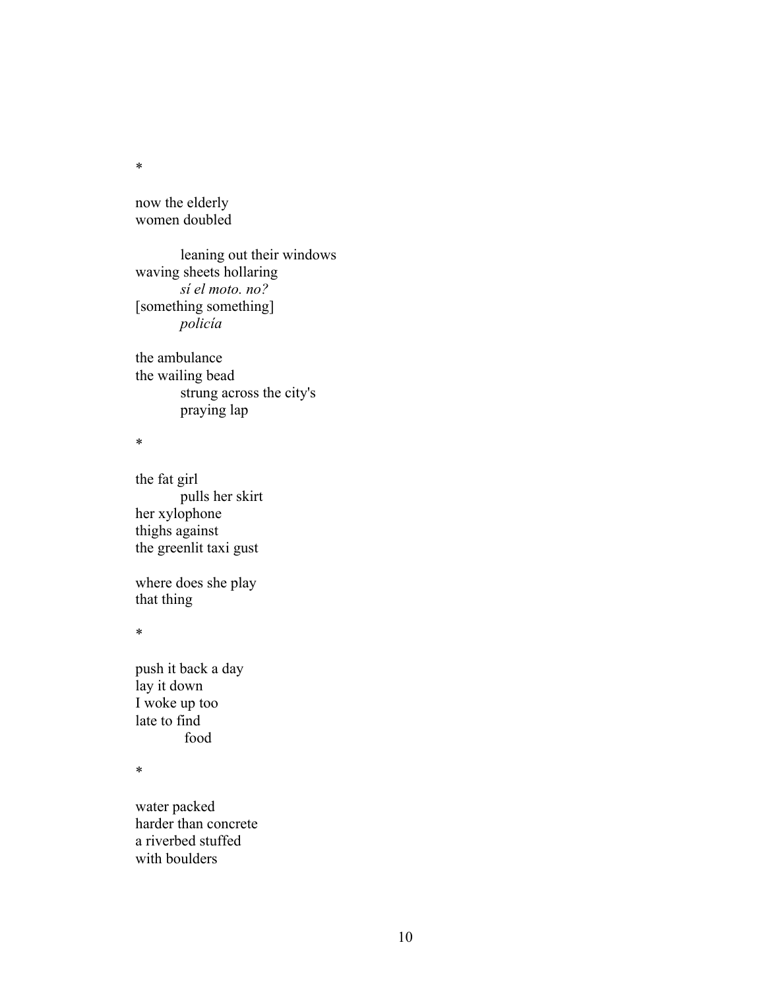now the elderly women doubled

leaning out their windows waving sheets hollaring *sí el moto. no?*  [something something] *policía*

the ambulance the wailing bead strung across the city's praying lap

\*

the fat girl pulls her skirt her xylophone thighs against the greenlit taxi gust

where does she play that thing

\*

push it back a day lay it down I woke up too late to find food

\*

water packed harder than concrete a riverbed stuffed with boulders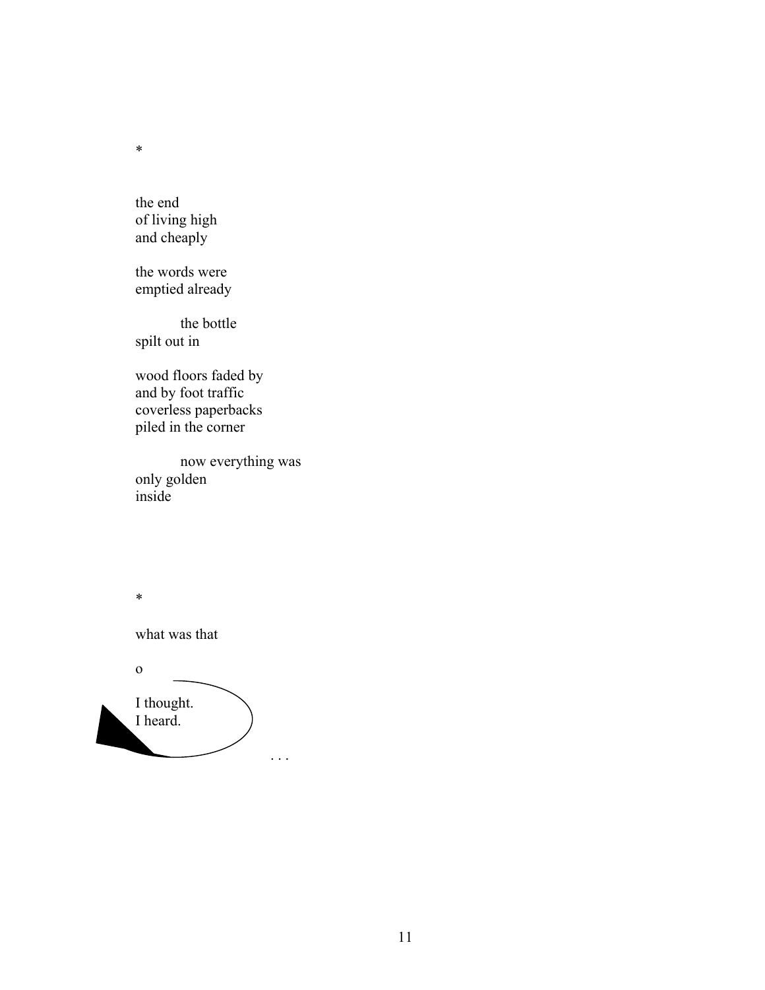the end of living high and cheaply

\*

the words were emptied already

the bottle spilt out in

wood floors faded by and by foot traffic coverless paperbacks piled in the corner

now everything was only golden inside

\* what was that o I thought. I heard. . . .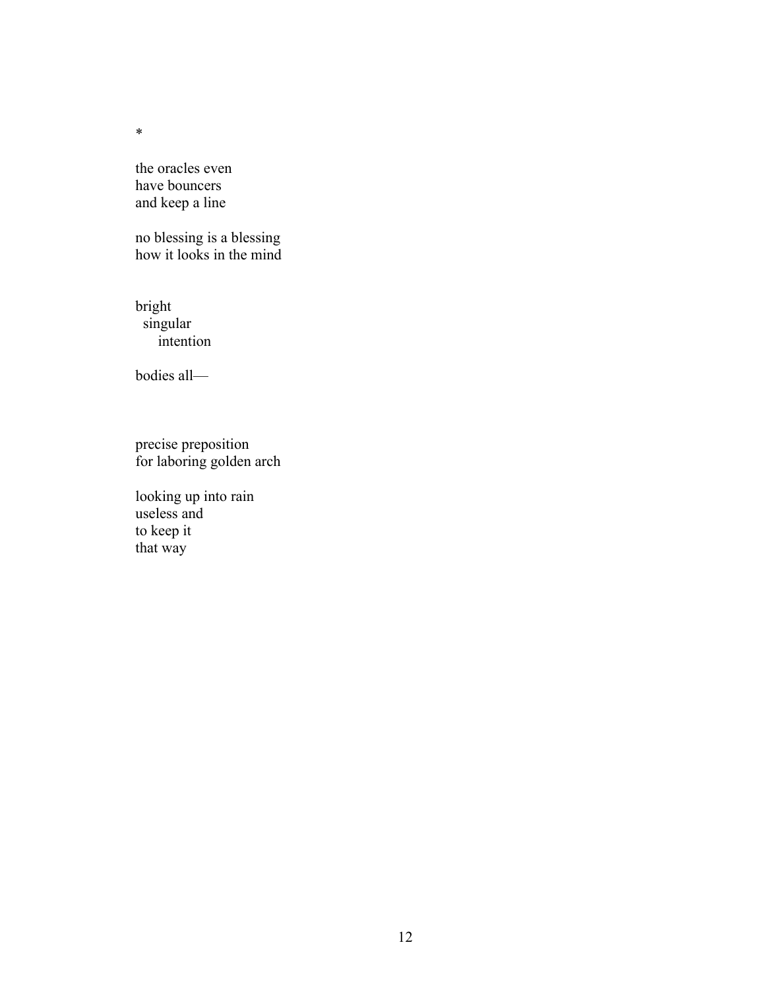the oracles even have bouncers and keep a line

no blessing is a blessing how it looks in the mind

bright singular intention

bodies all—

precise preposition for laboring golden arch

looking up into rain useless and to keep it that way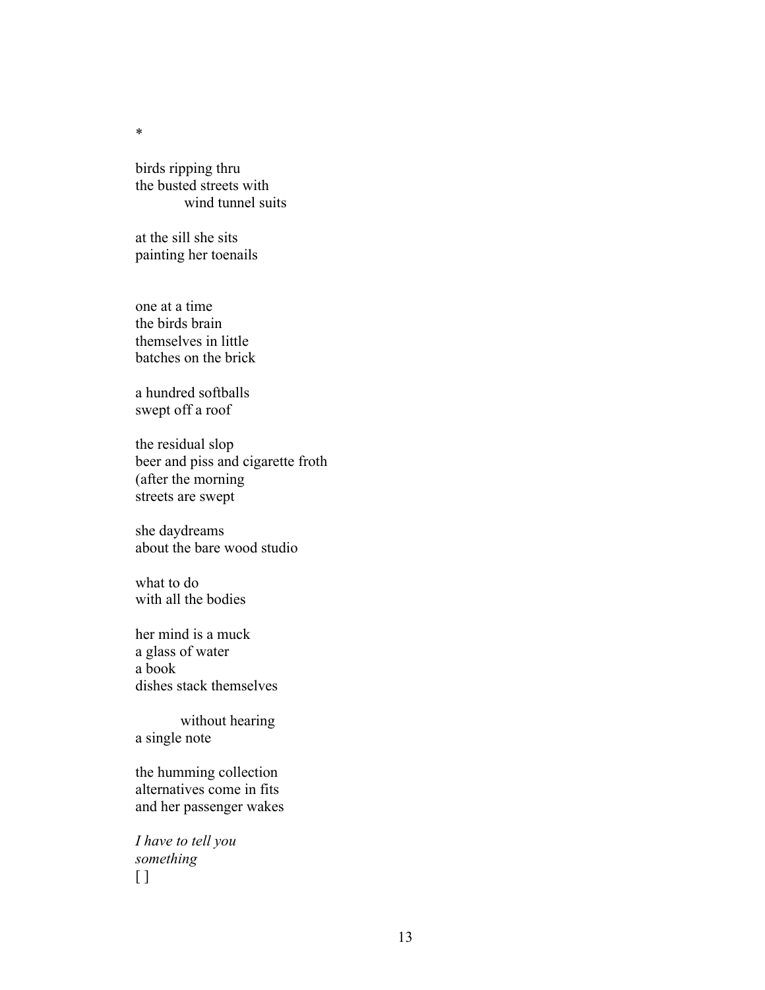birds ripping thru the busted streets with wind tunnel suits

at the sill she sits painting her toenails

one at a time the birds brain themselves in little batches on the brick

a hundred softballs swept off a roof

the residual slop beer and piss and cigarette froth (after the morning streets are swept

she daydreams about the bare wood studio

what to do with all the bodies

her mind is a muck a glass of water a book dishes stack themselves

without hearing a single note

the humming collection alternatives come in fits and her passenger wakes

*I have to tell you something*  $\lceil$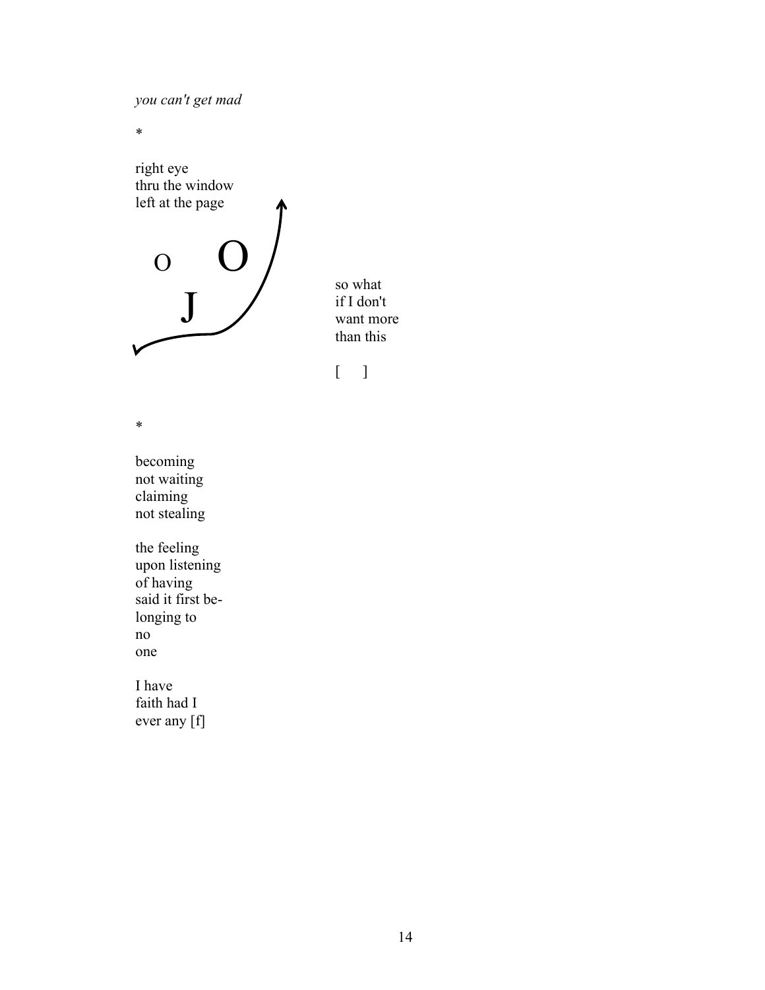*you can't get mad*

\*



so what if I don't want more than this

\*

becoming not waiting claiming not stealing

the feeling upon listening of having said it first belonging to no one

I have faith had I ever any [f]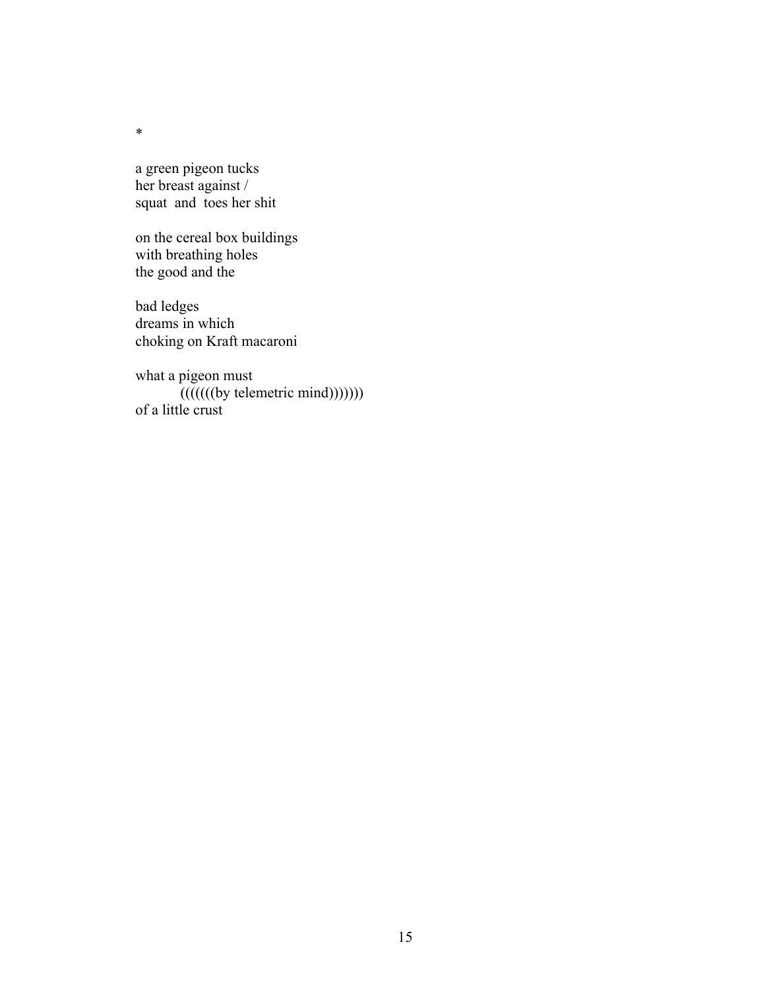a green pigeon tucks her breast against / squat and toes her shit

on the cereal box buildings with breathing holes the good and the

bad ledges dreams in which choking on Kraft macaroni

what a pigeon must  $((((()(by \text{telementic mind})))))$ of a little crust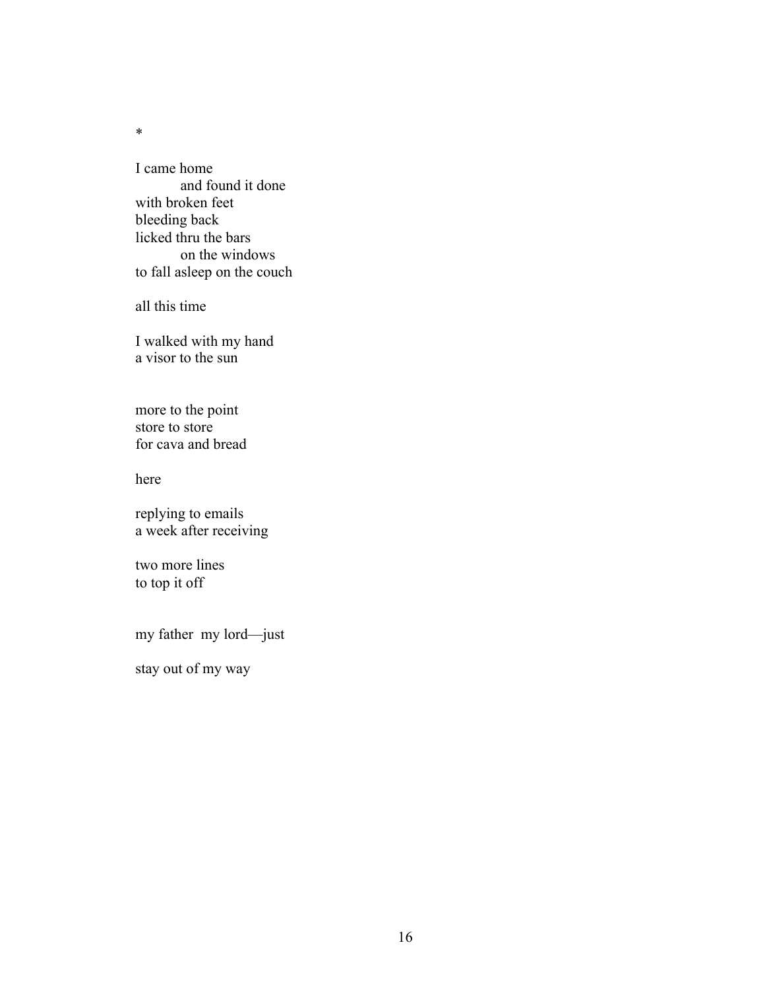I came home and found it done with broken feet bleeding back licked thru the bars on the windows to fall asleep on the couch

all this time

I walked with my hand a visor to the sun

more to the point store to store for cava and bread

here

replying to emails a week after receiving

two more lines to top it off

my father my lord—just

stay out of my way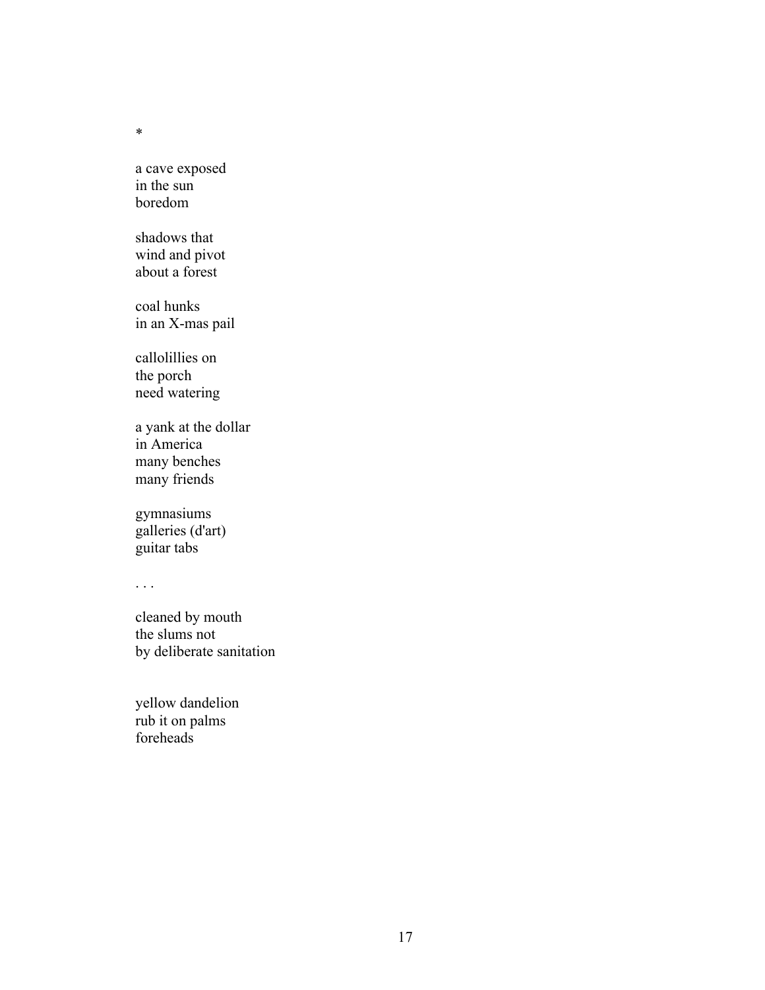a cave exposed in the sun boredom

shadows that wind and pivot about a forest

coal hunks in an X-mas pail

callolillies on the porch need watering

a yank at the dollar in America many benches many friends

gymnasiums galleries (d'art) guitar tabs

. . .

cleaned by mouth the slums not by deliberate sanitation

yellow dandelion rub it on palms foreheads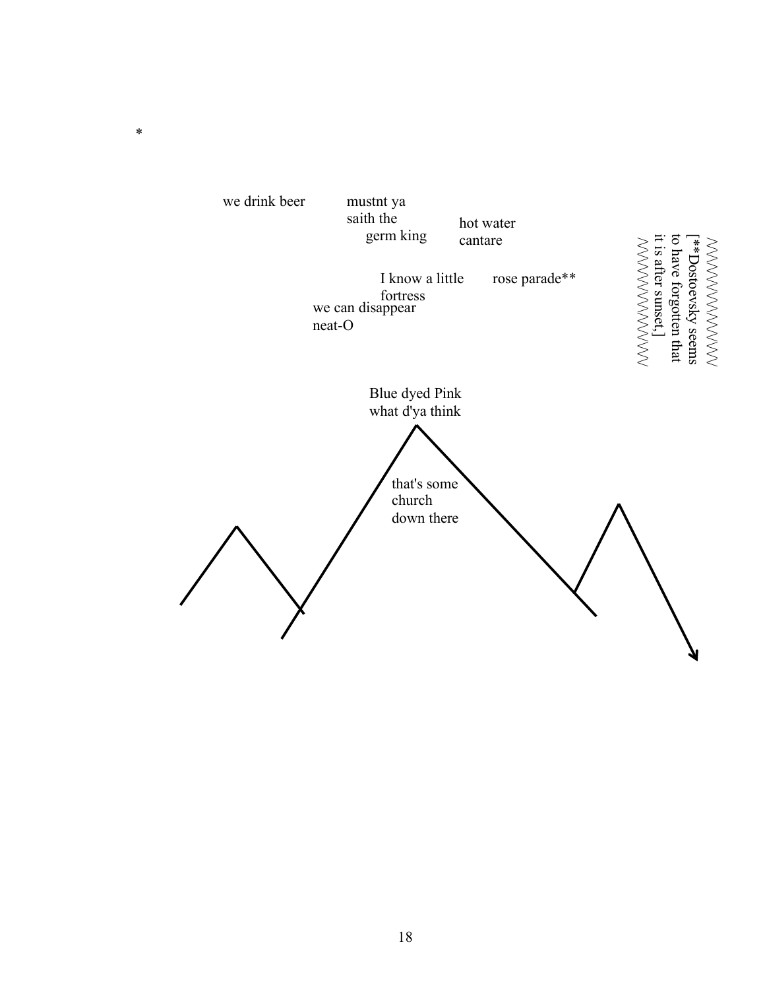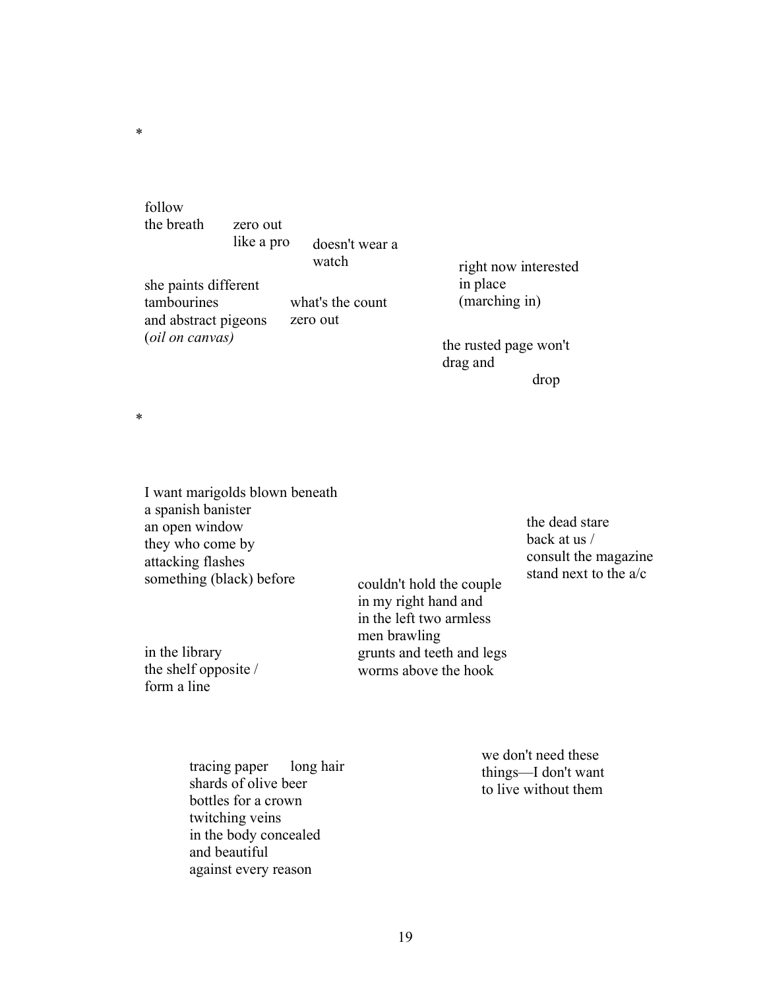follow the breath zero out

like a pro doesn't wear a

she paints different tambourines and abstract pigeons (*oil on canvas)* what's the count zero out

watch right now interested in place (marching in)

> the rusted page won't drag and drop

\*

\*

| I want marigolds blown beneath<br>a spanish banister<br>an open window |                                                                                             | the dead stare                                  |
|------------------------------------------------------------------------|---------------------------------------------------------------------------------------------|-------------------------------------------------|
| they who come by                                                       |                                                                                             | back at us /                                    |
| attacking flashes<br>something (black) before                          | couldn't hold the couple<br>in my right hand and<br>in the left two armless<br>men brawling | consult the magazine<br>stand next to the $a/c$ |
| in the library<br>the shelf opposite /<br>form a line                  | grunts and teeth and legs<br>worms above the hook                                           |                                                 |

tracing paper long hair shards of olive beer bottles for a crown twitching veins in the body concealed and beautiful against every reason

we don't need these things—I don't want to live without them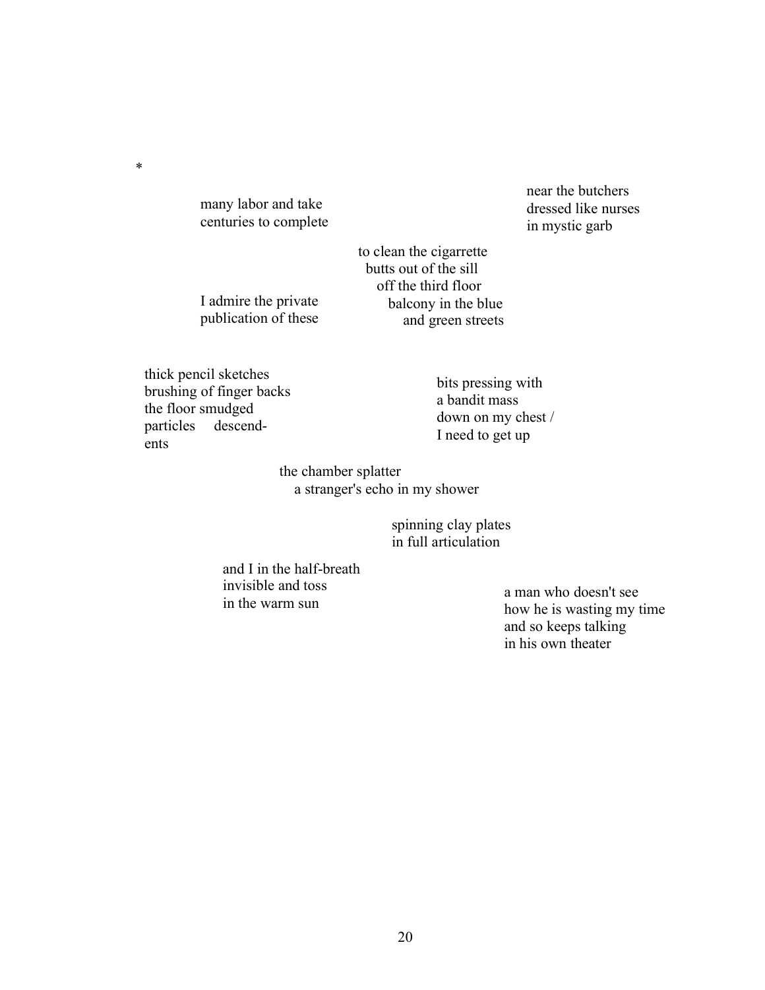many labor and take centuries to complete

I admire the private publication of these near the butchers dressed like nurses in mystic garb

 to clean the cigarrette butts out of the sill off the third floor balcony in the blue and green streets

thick pencil sketches brushing of finger backs the floor smudged particles descendents

\*

bits pressing with a bandit mass down on my chest / I need to get up

the chamber splatter a stranger's echo in my shower

> spinning clay plates in full articulation

and I in the half-breath invisible and toss in the warm sun

a man who doesn't see how he is wasting my time and so keeps talking in his own theater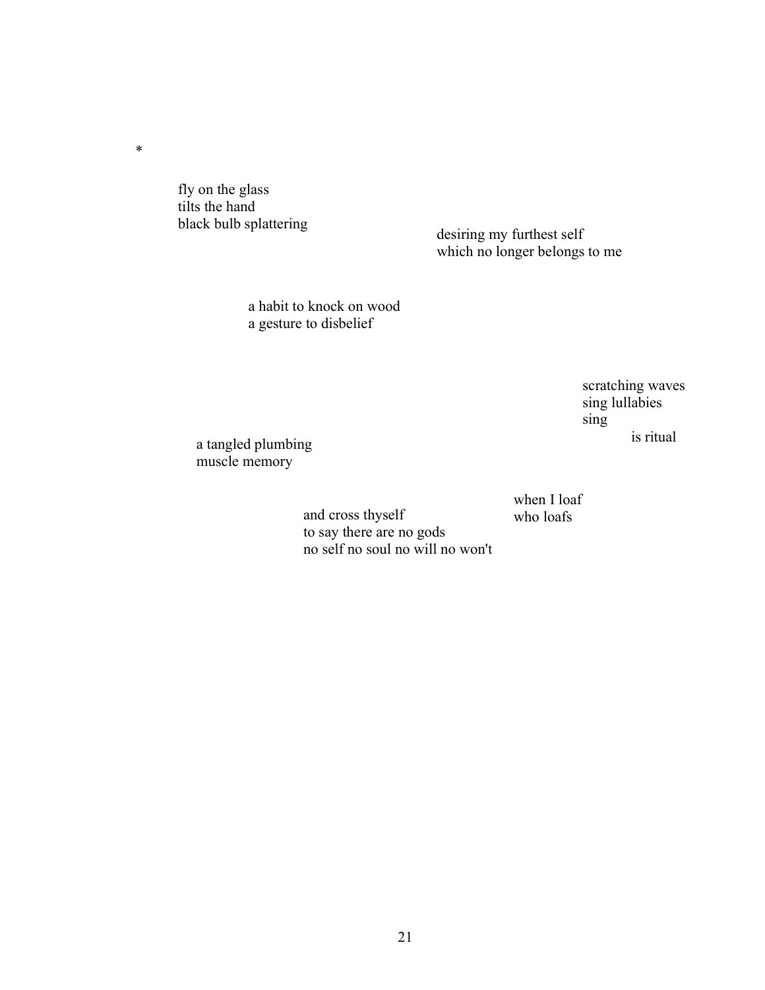fly on the glass tilts the hand<br>black bulb splattering

\*

desiring my furthest self which no longer belongs to me

a habit to knock on wood a gesture to disbelief

> scratching waves sing lullabies sing is ritual

a tangled plumbing muscle memory

> when I loaf who loafs

and cross thyself to say there are no gods no self no soul no will no won't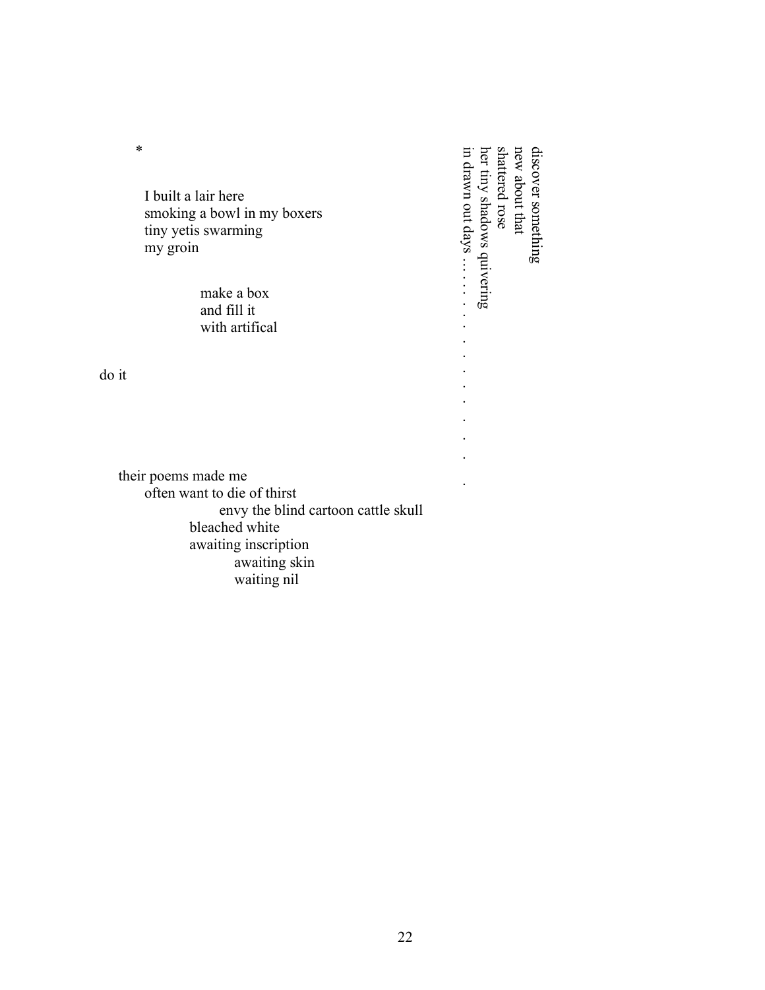| *<br>I built a lair here<br>smoking a bowl in my boxers<br>tiny yetis swarming<br>my groin<br>make a box<br>and fill it<br>with artifical | discover something<br>new about that<br>er tiny shadows quivering<br>hattered rose<br>drawn out days<br>$\bullet$ |
|-------------------------------------------------------------------------------------------------------------------------------------------|-------------------------------------------------------------------------------------------------------------------|
| do it                                                                                                                                     |                                                                                                                   |
| their poems made me                                                                                                                       |                                                                                                                   |
| often want to die of thirst                                                                                                               |                                                                                                                   |
| envy the blind cartoon cattle skull<br>bleached white<br>awaiting inscription<br>awaiting skin<br>waiting nil                             |                                                                                                                   |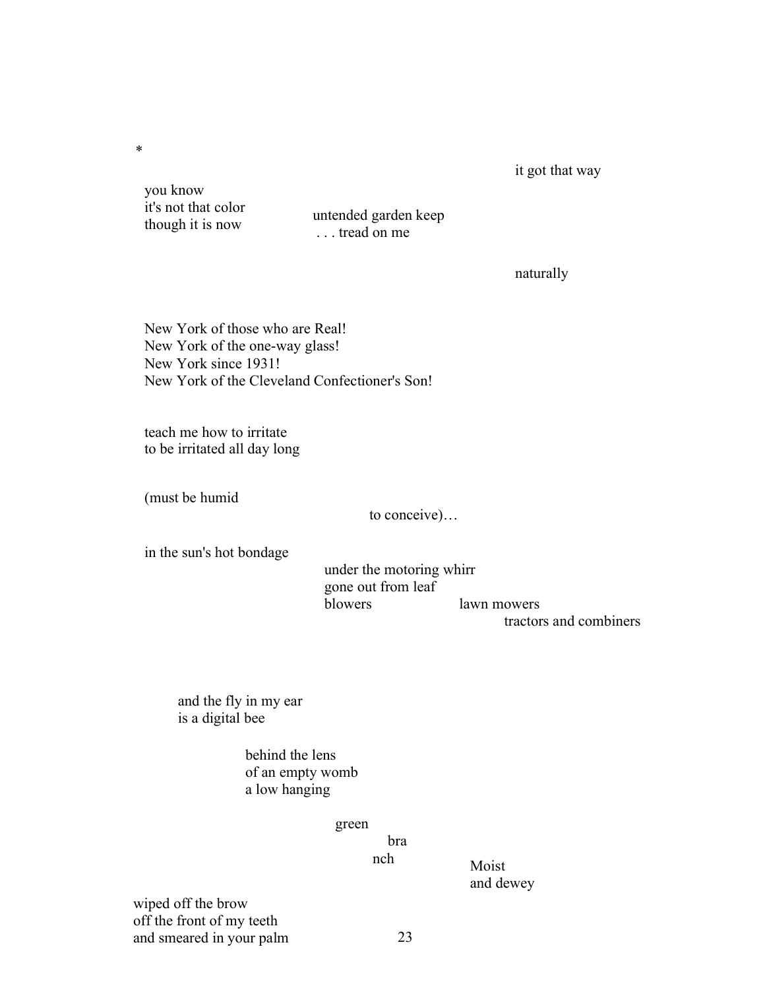it got that way

 you know it's not that color

\*

though it is now untended garden keep . . . tread on me

naturally

New York of those who are Real! New York of the one-way glass! New York since 1931! New York of the Cleveland Confectioner's Son!

teach me how to irritate to be irritated all day long

(must be humid

to conceive)…

in the sun's hot bondage

under the motoring whirr gone out from leaf blowers lawn mowers tractors and combiners

and the fly in my ear is a digital bee

> behind the lens of an empty womb a low hanging

> > green

bra

nch Moist and dewey

wiped off the brow off the front of my teeth and smeared in your palm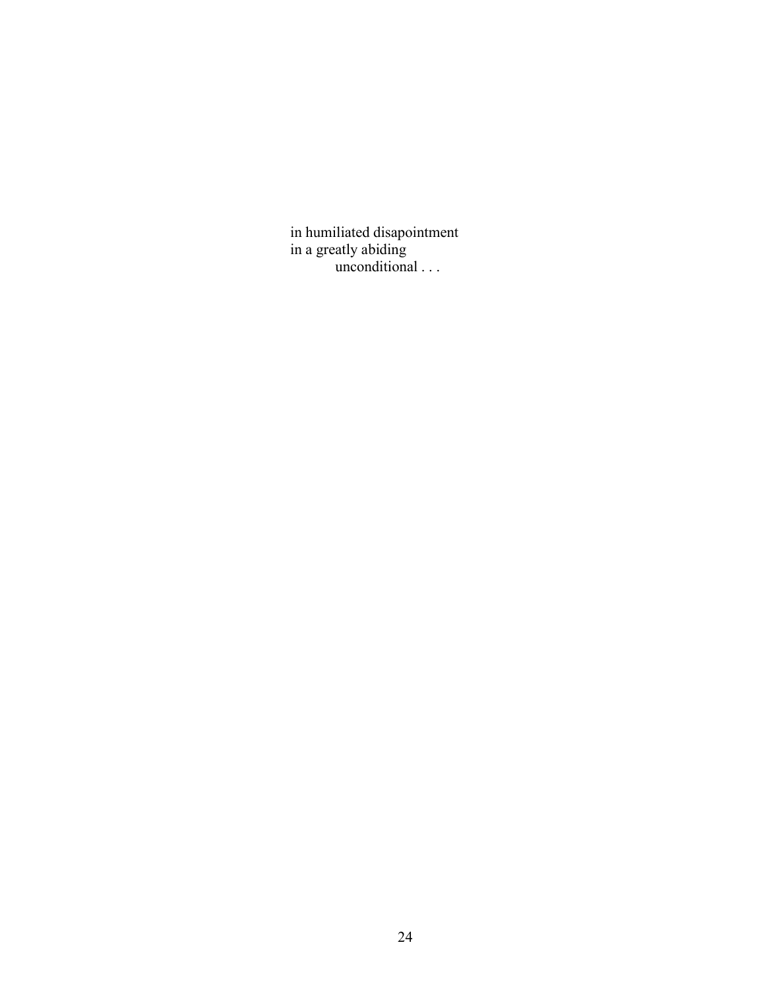in humiliated disapointment in a greatly abiding unconditional . . .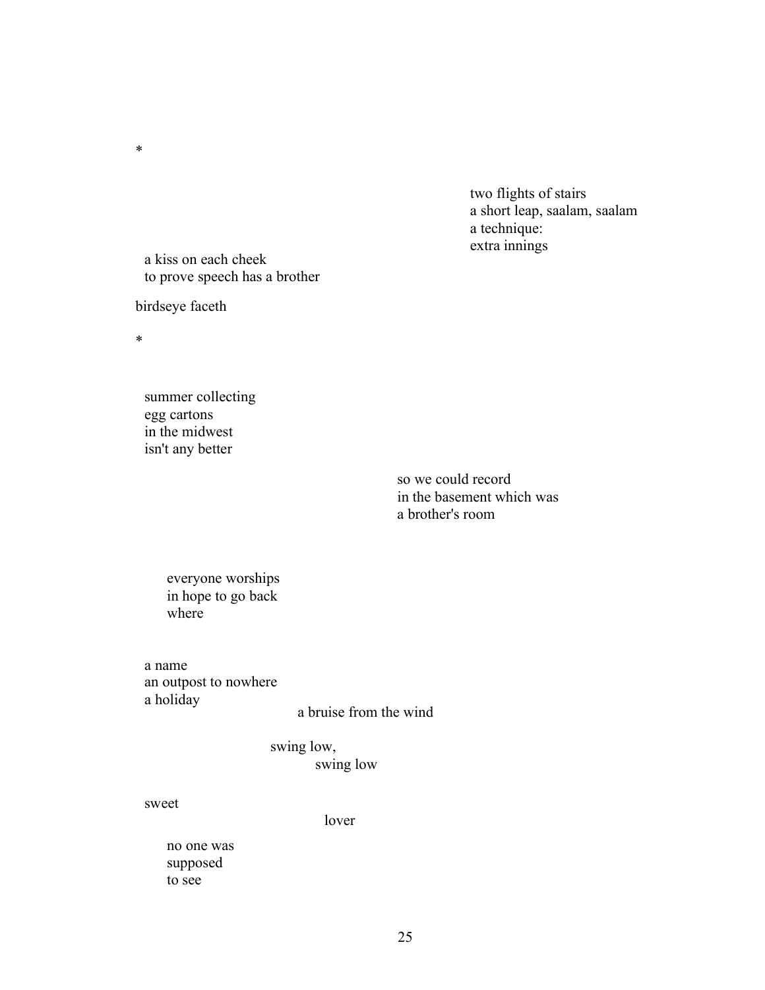two flights of stairs a short leap, saalam, saalam a technique: extra innings

a kiss on each cheek to prove speech has a brother

birdseye faceth

\*

\*

summer collecting egg cartons in the midwest isn't any better

> so we could record in the basement which was a brother's room

everyone worships in hope to go back where

a name an outpost to nowhere a holiday

a bruise from the wind

swing low, swing low

### sweet

lover

no one was supposed to see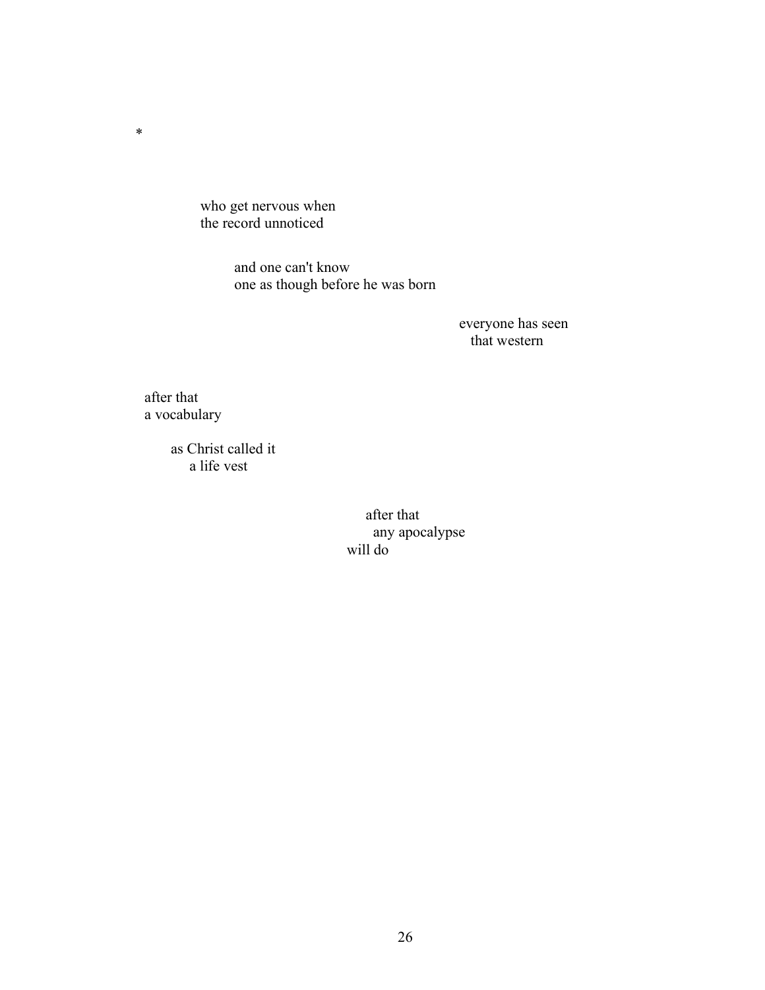who get nervous when the record unnoticed

> and one can't know one as though before he was born

> > everyone has seen that western

after that a vocabulary

\*

 as Christ called it a life vest

> after that any apocalypse will do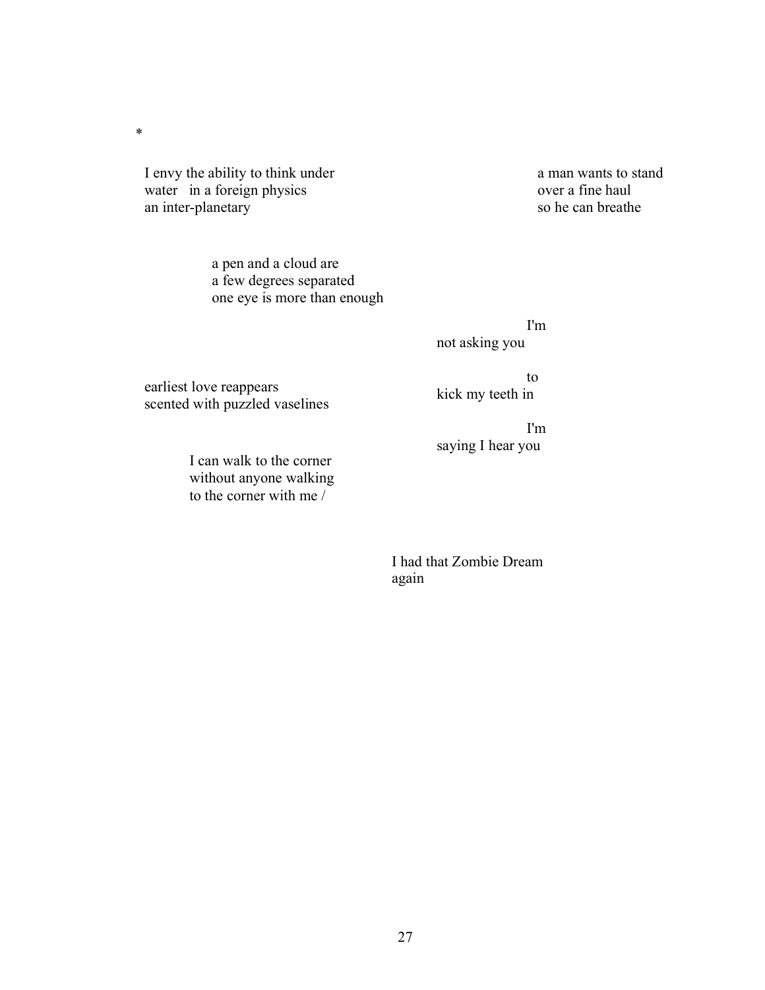I envy the ability to think under water in a foreign physics an inter-planetary

\*

a pen and a cloud are a few degrees separated one eye is more than enough a man wants to stand over a fine haul so he can breathe

I'm not asking you

saying I hear you

I'm

to kick my teeth in

earliest love reappears scented with puzzled vaselines

> I can walk to the corner without anyone walking to the corner with me /

> > I had that Zombie Dream again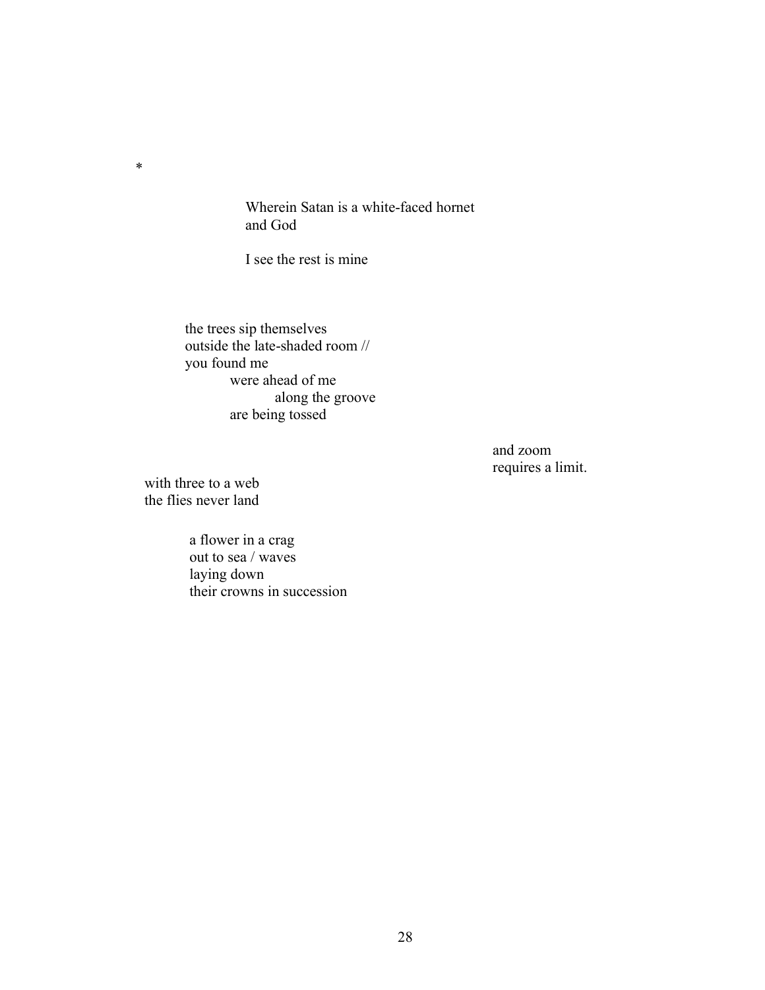Wherein Satan is a white-faced hornet and God

I see the rest is mine

the trees sip themselves outside the late-shaded room // you found me were ahead of me along the groove are being tossed

> and zoom requires a limit.

with three to a web the flies never land

\*

a flower in a crag out to sea / waves laying down their crowns in succession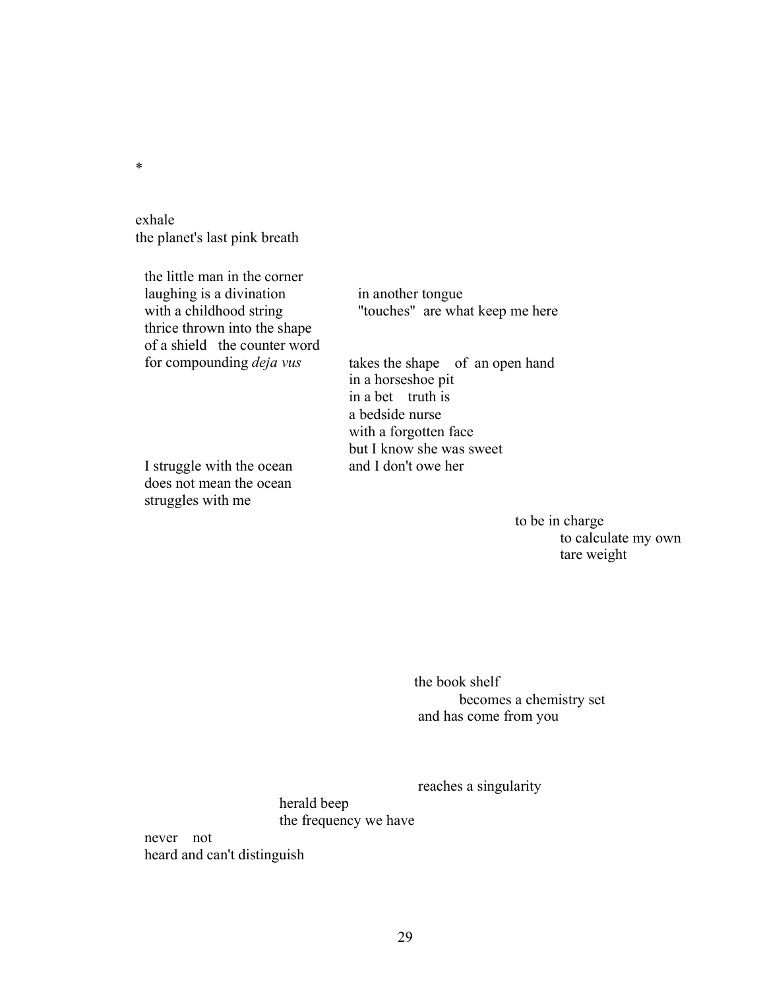exhale the planet's last pink breath

the little man in the corner laughing is a divination with a childhood string thrice thrown into the shape of a shield the counter word for compounding *deja vus* takes the shape of an open hand

I struggle with the ocean and I don't owe her does not mean the ocean struggles with me

in another tongue "touches" are what keep me here

in a horseshoe pit in a bet truth is a bedside nurse with a forgotten face but I know she was sweet

> to be in charge to calculate my own tare weight

the book shelf becomes a chemistry set and has come from you

reaches a singularity

herald beep the frequency we have

never not heard and can't distinguish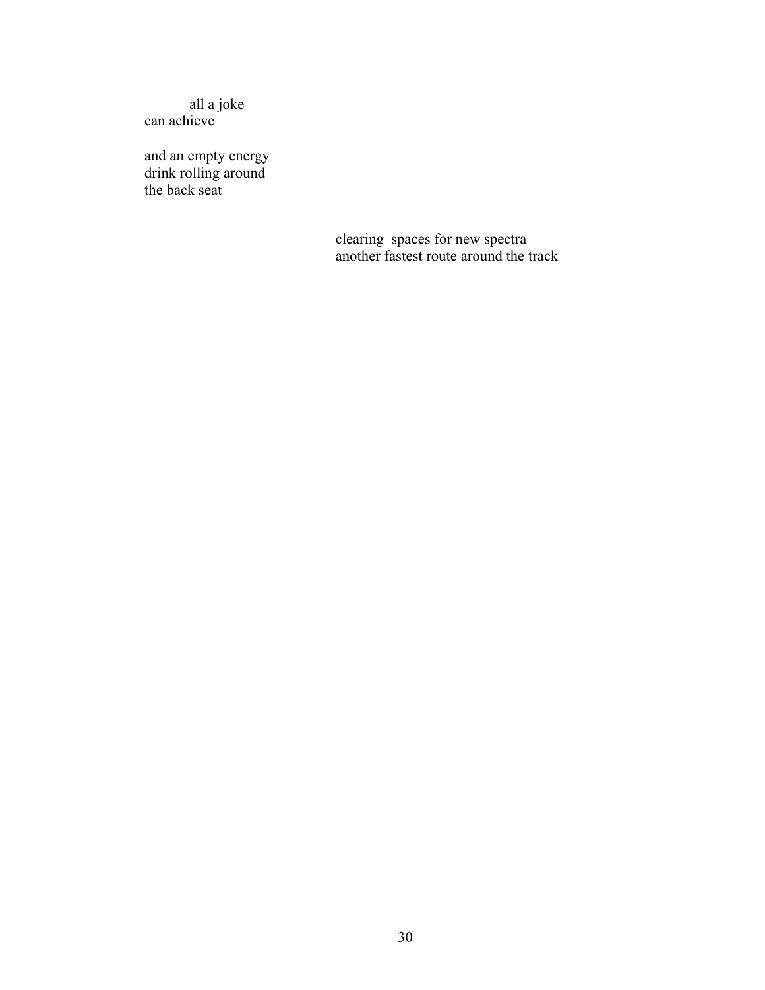all a joke can achieve

and an empty energy drink rolling around the back seat

> clearing spaces for new spectra another fastest route around the track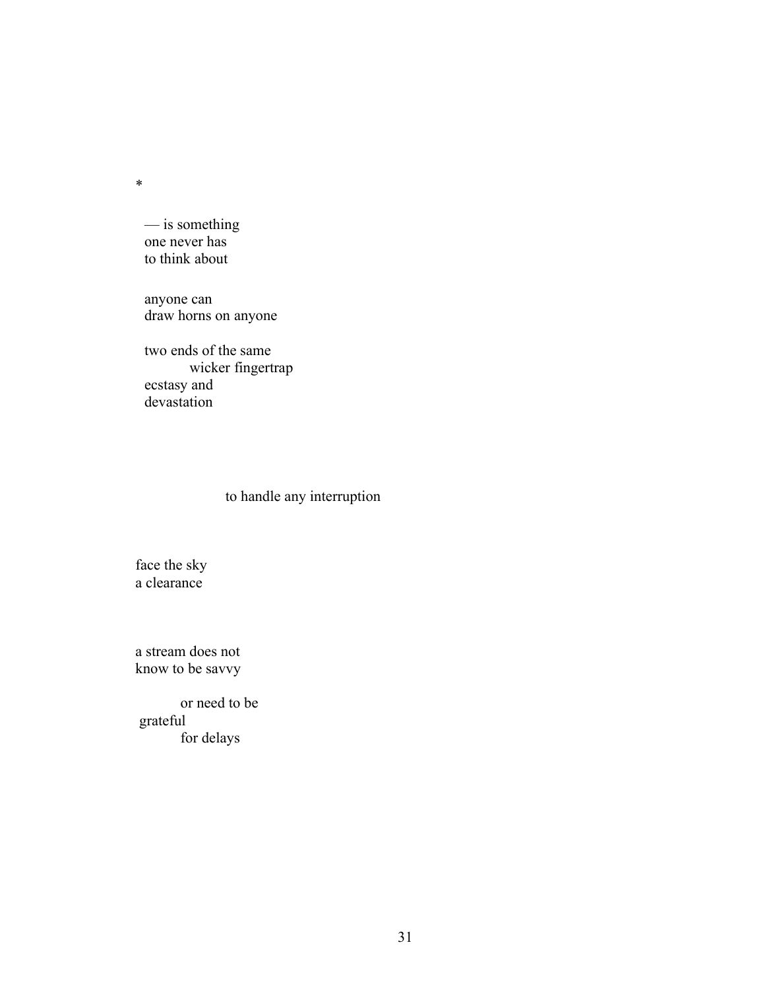— is something one never has to think about

anyone can draw horns on anyone

two ends of the same wicker fingertrap ecstasy and devastation

# to handle any interruption

face the sky a clearance

a stream does not know to be savvy

or need to be grateful for delays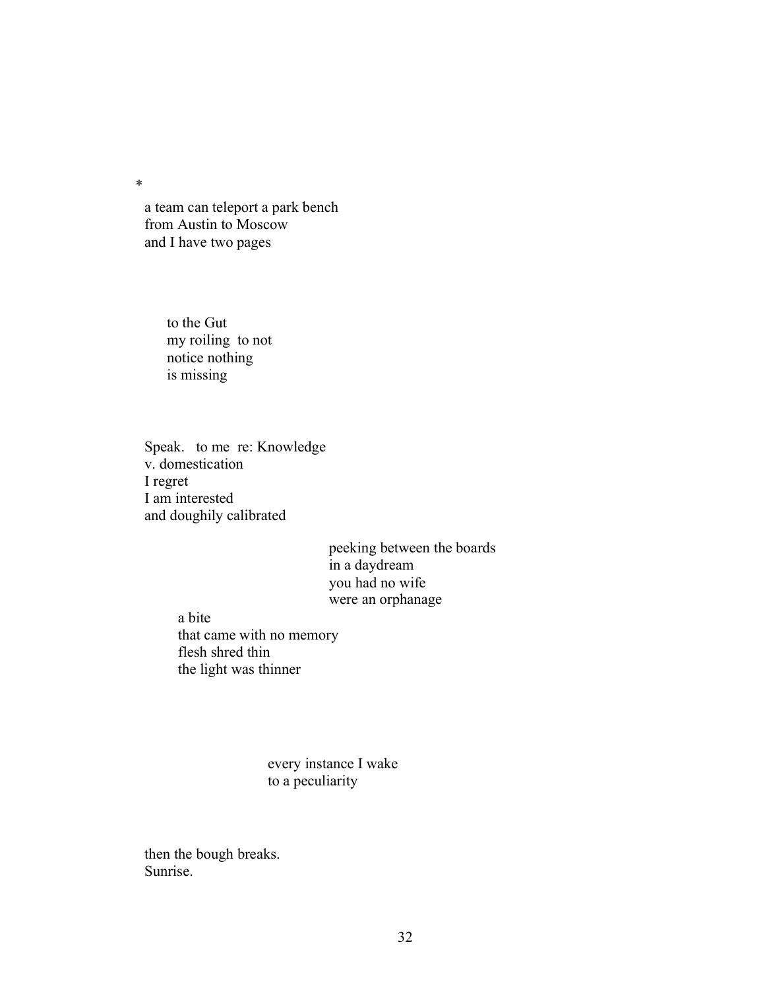a team can teleport a park bench from Austin to Moscow and I have two pages

> to the Gut my roiling to not notice nothing is missing

Speak. to me re: Knowledge v. domestication I regret I am interested and doughily calibrated

> peeking between the boards in a daydream you had no wife were an orphanage

a bite that came with no memory flesh shred thin the light was thinner

> every instance I wake to a peculiarity

then the bough breaks. Sunrise.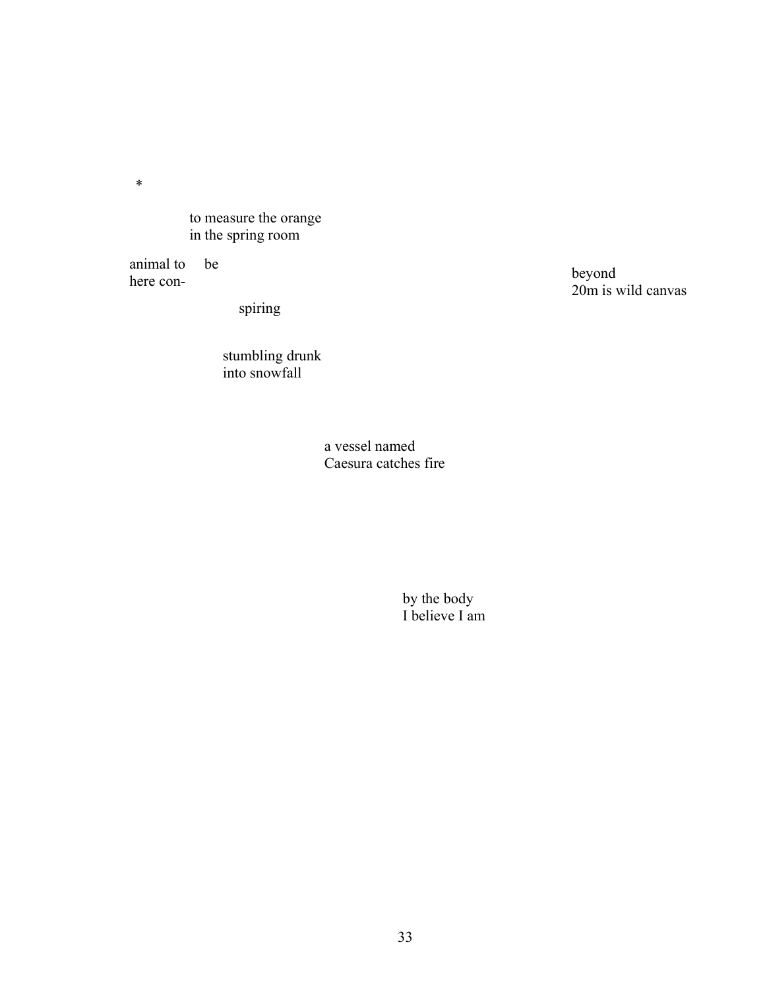to measure the orange in the spring room

animal to be here con-

spiring

stumbling drunk into snowfall

> a vessel named Caesura catches fire

> > by the body I believe I am

beyond 20m is wild canvas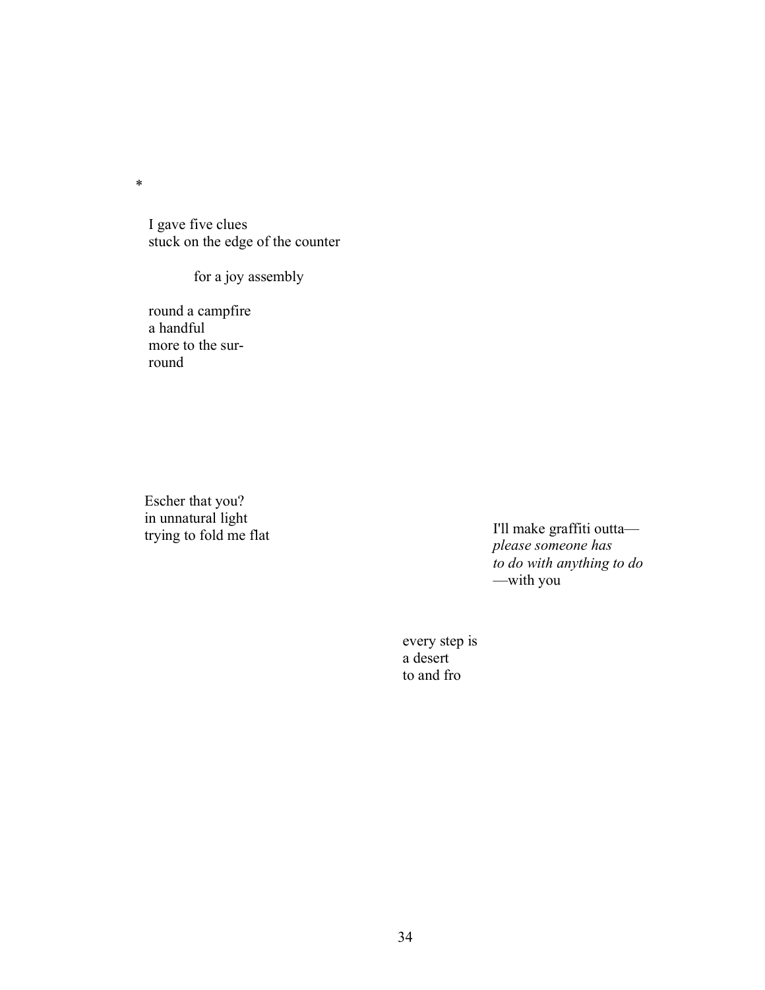I gave five clues stuck on the edge of the counter

for a joy assembly

round a campfire a handful more to the surround

Escher that you? in unnatural light

trying to fold me flat I'll make graffiti outta *please someone has to do with anything to do* —with you

> every step is a desert to and fro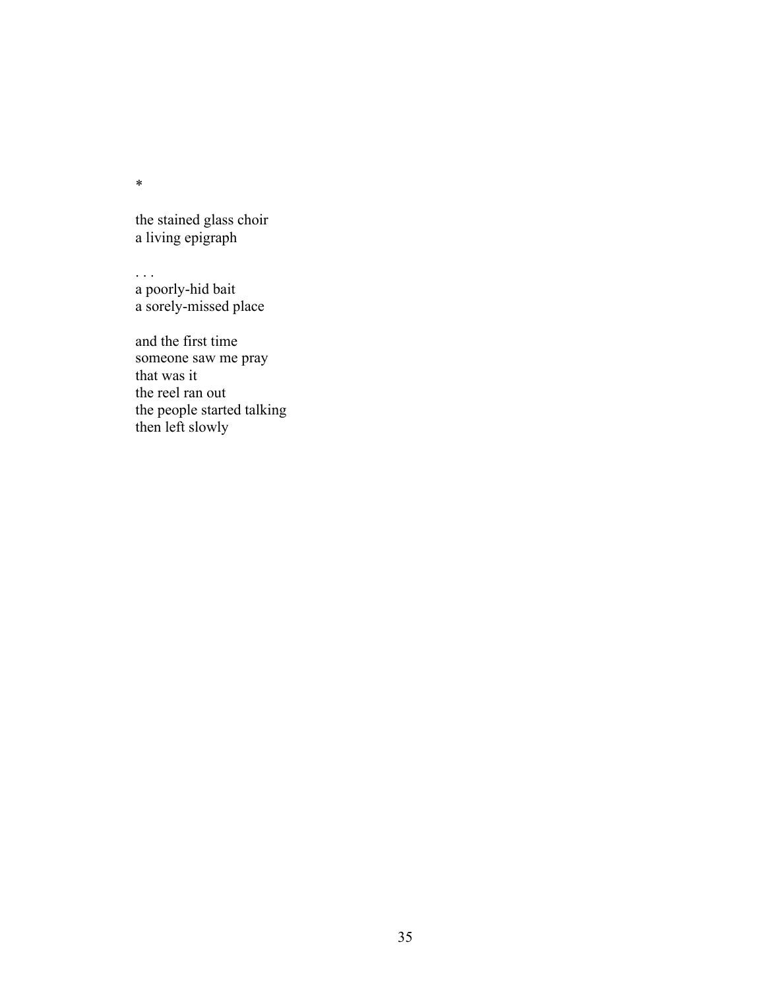the stained glass choir a living epigraph

. . . a poorly-hid bait a sorely-missed place

and the first time someone saw me pray that was it the reel ran out the people started talking then left slowly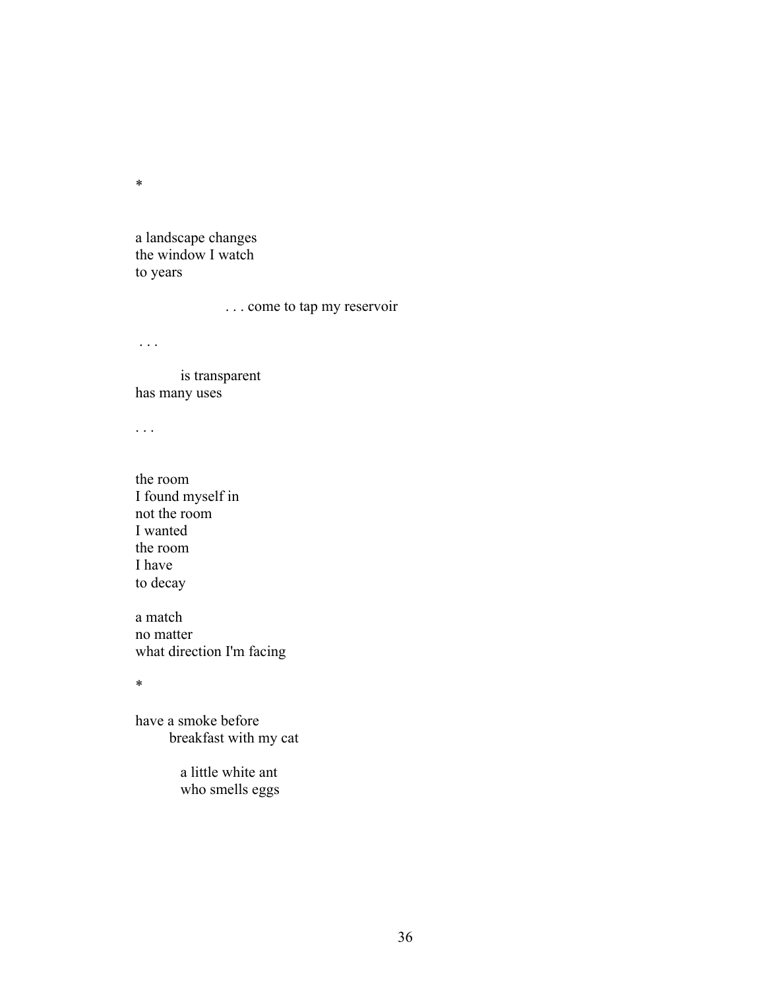a landscape changes the window I watch to years

. . . come to tap my reservoir

. . .

is transparent has many uses

. . .

the room I found myself in not the room I wanted the room I have to decay

a match no matter what direction I'm facing

\*

have a smoke before breakfast with my cat

> a little white ant who smells eggs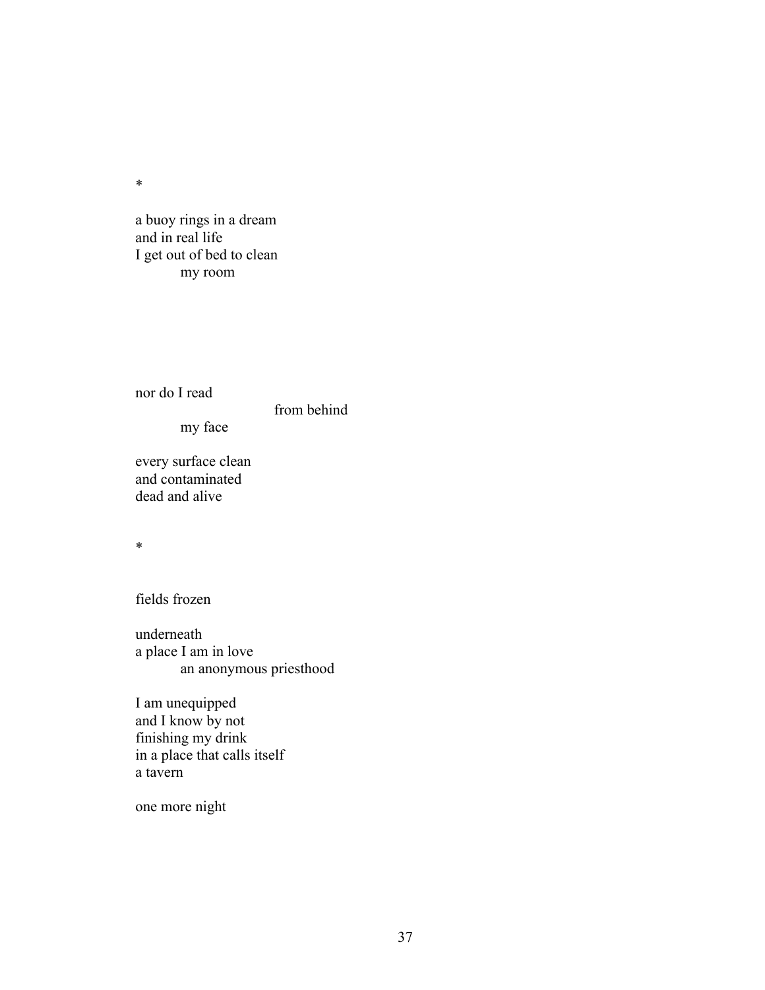a buoy rings in a dream and in real life I get out of bed to clean my room

nor do I read

from behind

my face

every surface clean and contaminated dead and alive

\*

fields frozen

underneath a place I am in love an anonymous priesthood

I am unequipped and I know by not finishing my drink in a place that calls itself a tavern

one more night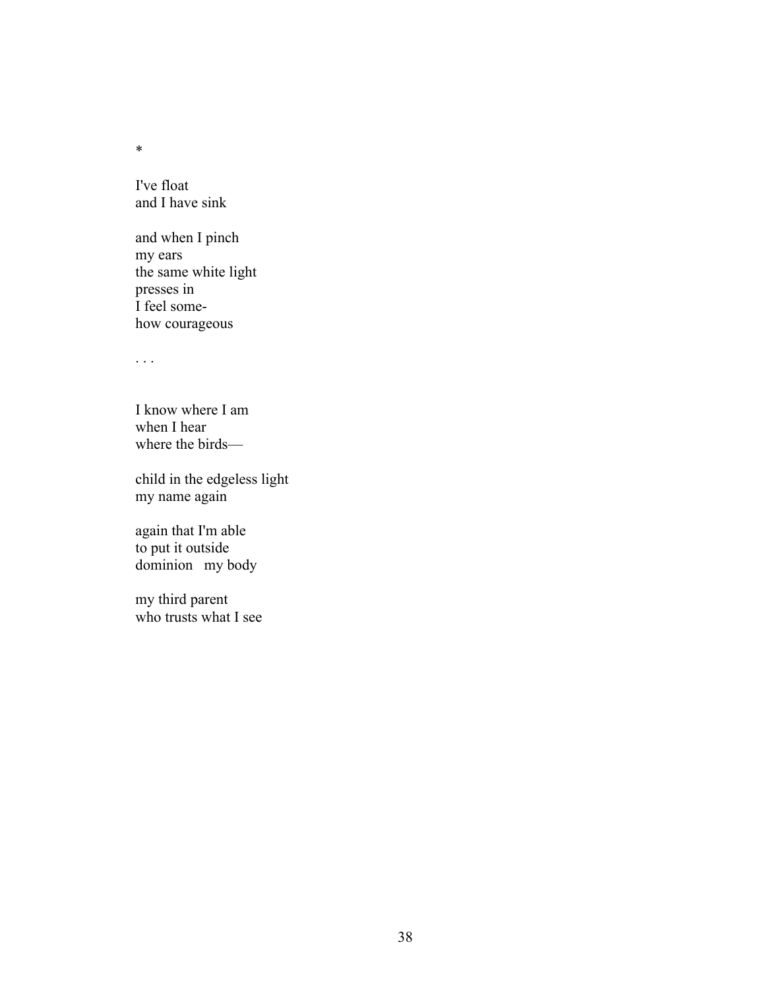I've float and I have sink

and when I pinch my ears the same white light presses in I feel somehow courageous

. . .

I know where I am when I hear where the birds—

child in the edgeless light my name again

again that I'm able to put it outside dominion my body

my third parent who trusts what I see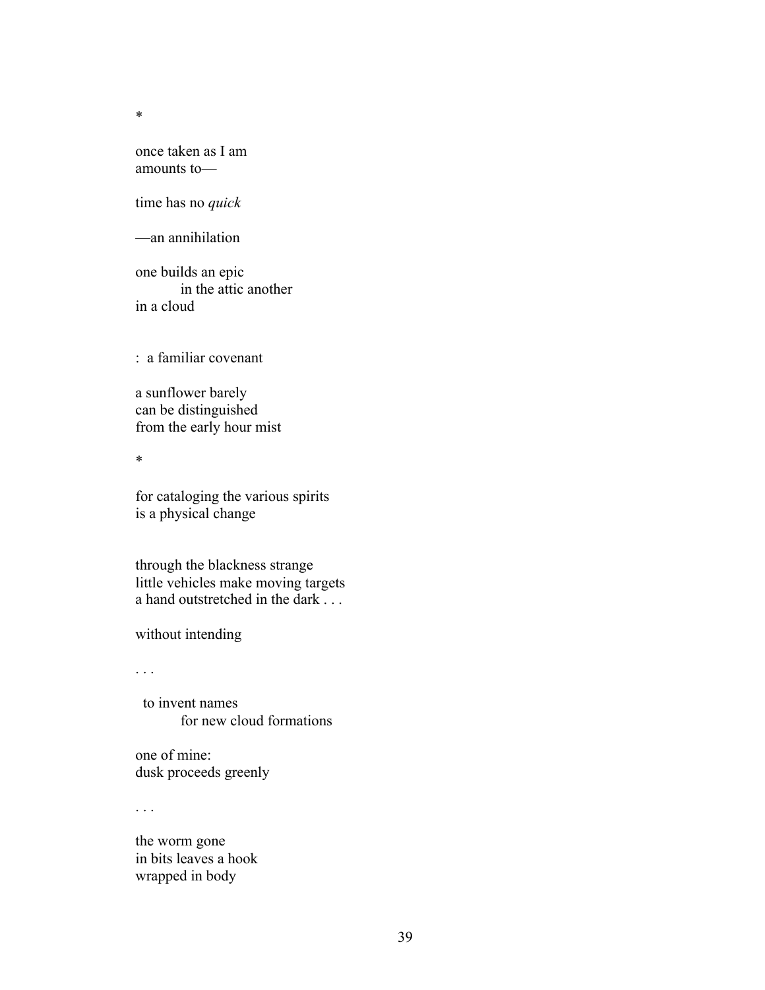once taken as I am amounts to—

time has no *quick*

—an annihilation

one builds an epic in the attic another in a cloud

: a familiar covenant

a sunflower barely can be distinguished from the early hour mist

\*

for cataloging the various spirits is a physical change

through the blackness strange little vehicles make moving targets a hand outstretched in the dark . . .

without intending

. . .

 to invent names for new cloud formations

one of mine: dusk proceeds greenly

. . .

the worm gone in bits leaves a hook wrapped in body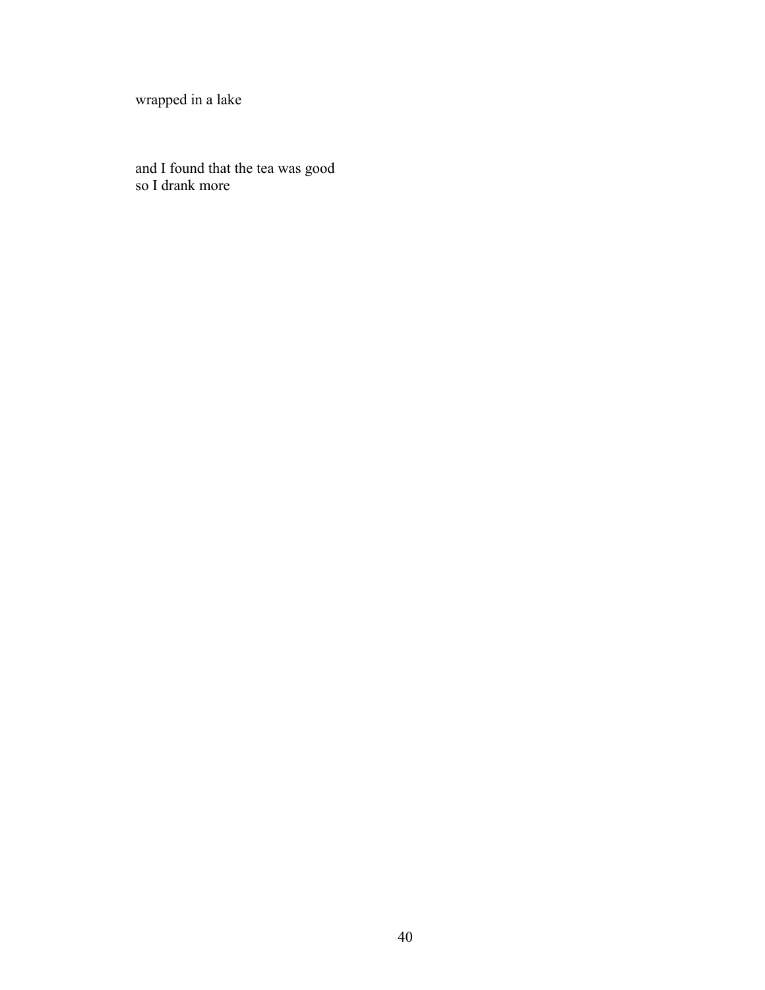wrapped in a lake

and I found that the tea was good so I drank more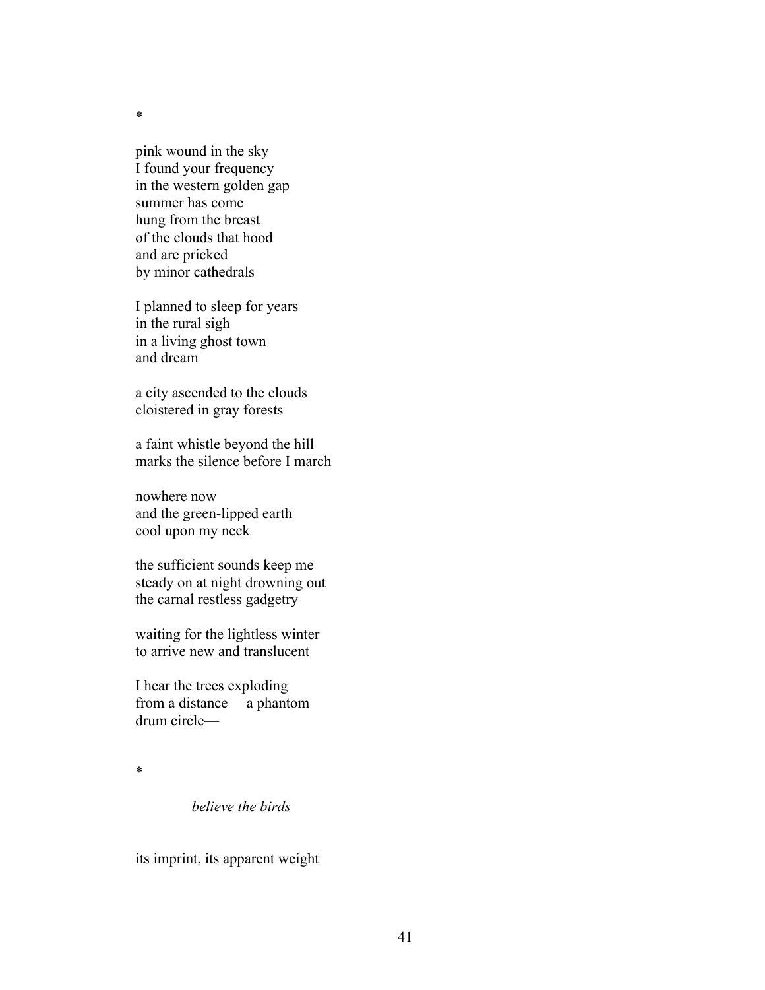pink wound in the sky I found your frequency in the western golden gap summer has come hung from the breast of the clouds that hood and are pricked by minor cathedrals

I planned to sleep for years in the rural sigh in a living ghost town and dream

a city ascended to the clouds cloistered in gray forests

a faint whistle beyond the hill marks the silence before I march

nowhere now and the green-lipped earth cool upon my neck

the sufficient sounds keep me steady on at night drowning out the carnal restless gadgetry

waiting for the lightless winter to arrive new and translucent

I hear the trees exploding from a distance a phantom drum circle—

\*

*believe the birds*

its imprint, its apparent weight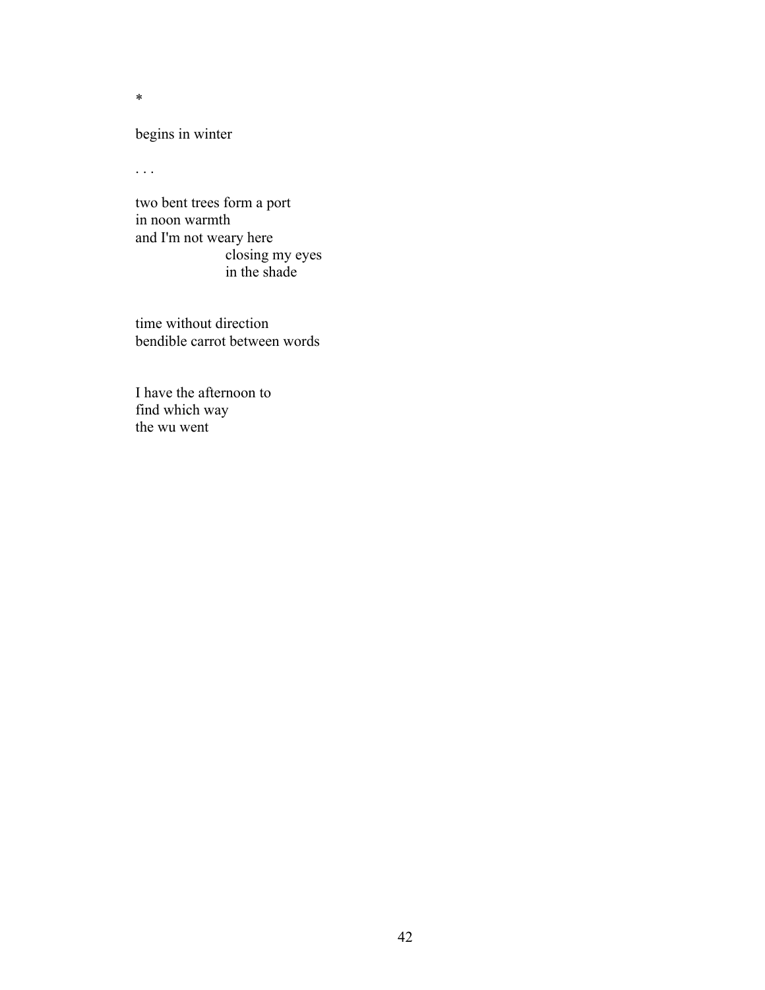begins in winter

. . .

two bent trees form a port in noon warmth and I'm not weary here closing my eyes in the shade

time without direction bendible carrot between words

I have the afternoon to find which way the wu went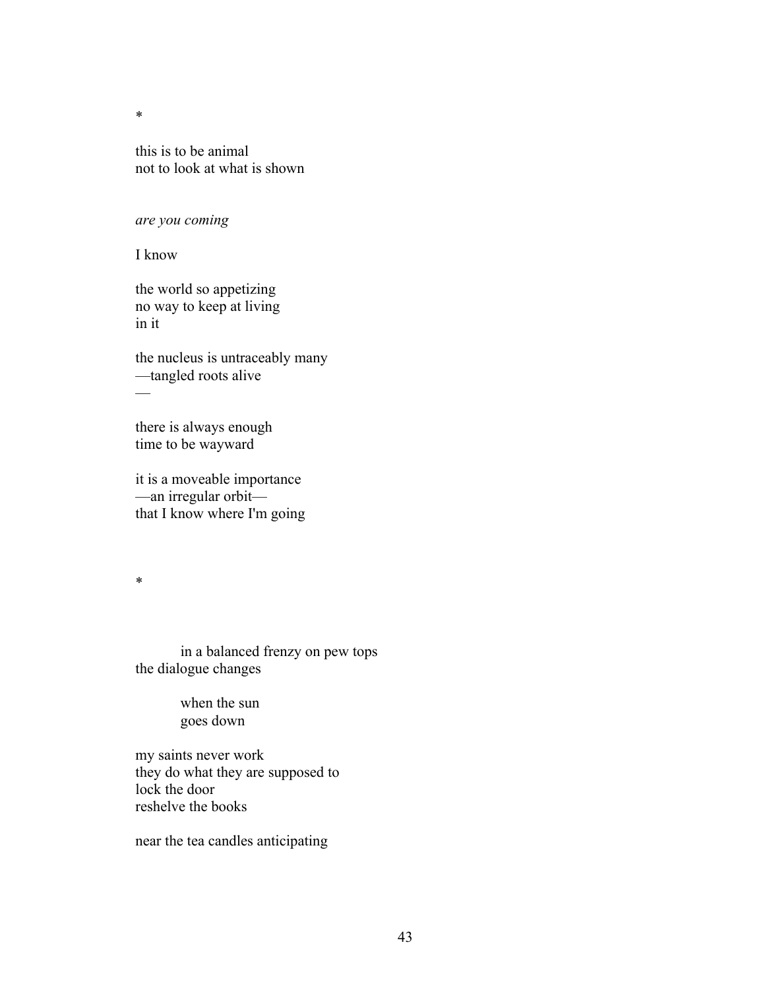this is to be animal not to look at what is shown

### *are you coming*

I know

the world so appetizing no way to keep at living in it

the nucleus is untraceably many —tangled roots alive —

there is always enough time to be wayward

it is a moveable importance —an irregular orbit that I know where I'm going

\*

in a balanced frenzy on pew tops the dialogue changes

> when the sun goes down

my saints never work they do what they are supposed to lock the door reshelve the books

near the tea candles anticipating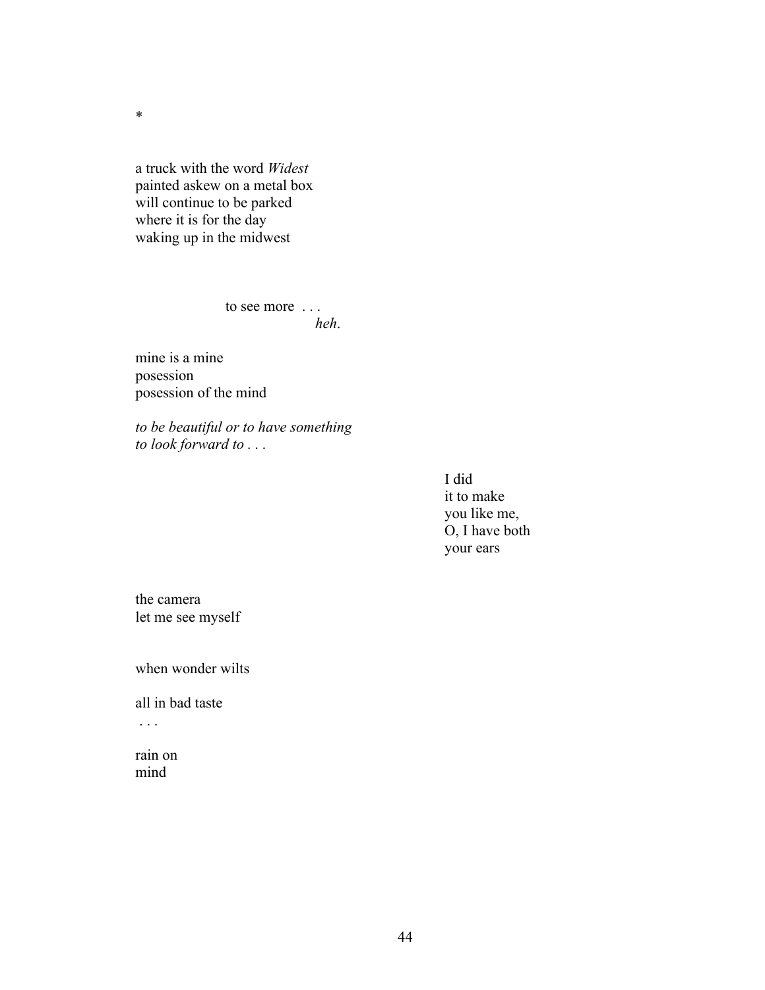a truck with the word *Widest* painted askew on a metal box will continue to be parked where it is for the day waking up in the midwest

> to see more . . . *heh*.

mine is a mine posession posession of the mind

*to be beautiful or to have something to look forward to . . .*

> I did it to make you like me, O, I have both your ears

the camera let me see myself

when wonder wilts

all in bad taste

. . .

rain on mind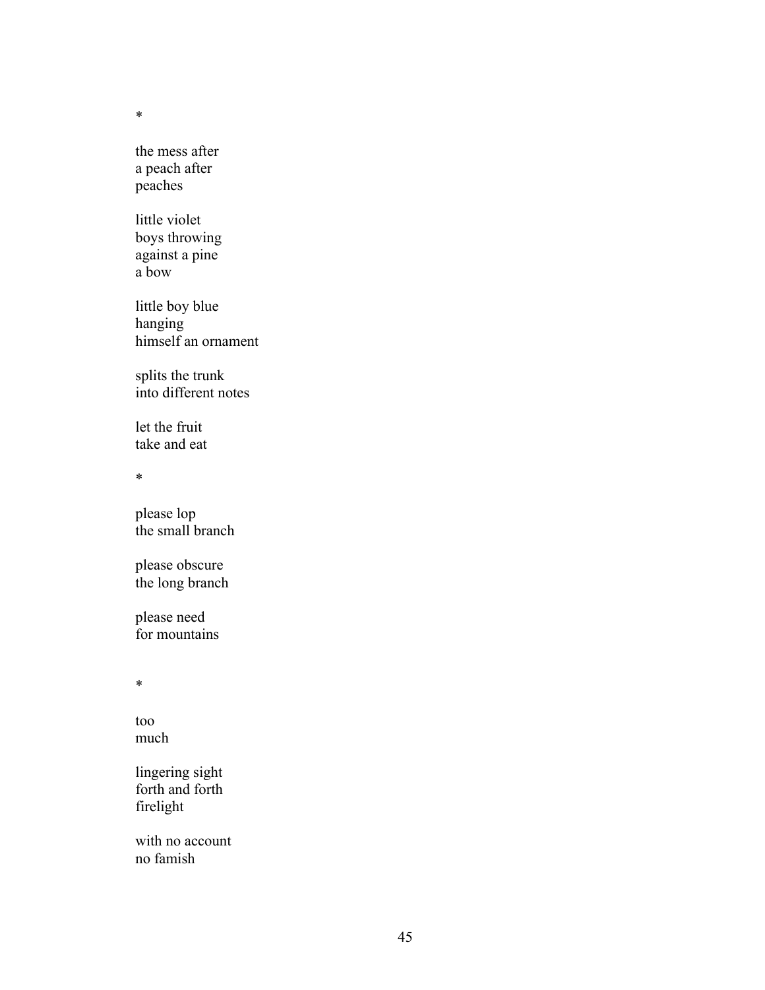the mess after a peach after peaches

little violet boys throwing against a pine a bow

little boy blue hanging himself an ornament

splits the trunk into different notes

let the fruit take and eat

\*

please lop the small branch

please obscure the long branch

please need for mountains

\*

too much

lingering sight forth and forth firelight

with no account no famish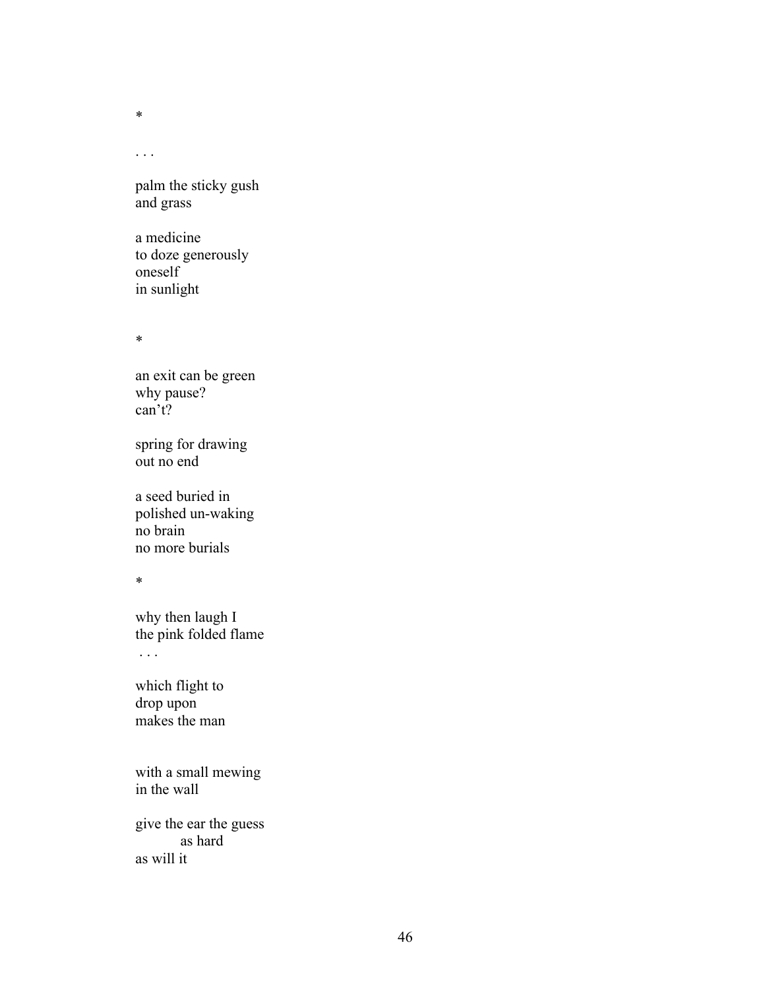. . .

palm the sticky gush and grass

a medicine to doze generously oneself in sunlight

\*

an exit can be green why pause? can't?

spring for drawing out no end

a seed buried in polished un-waking no brain no more burials

\*

why then laugh I the pink folded flame . . .

which flight to drop upon makes the man

with a small mewing in the wall

give the ear the guess as hard as will it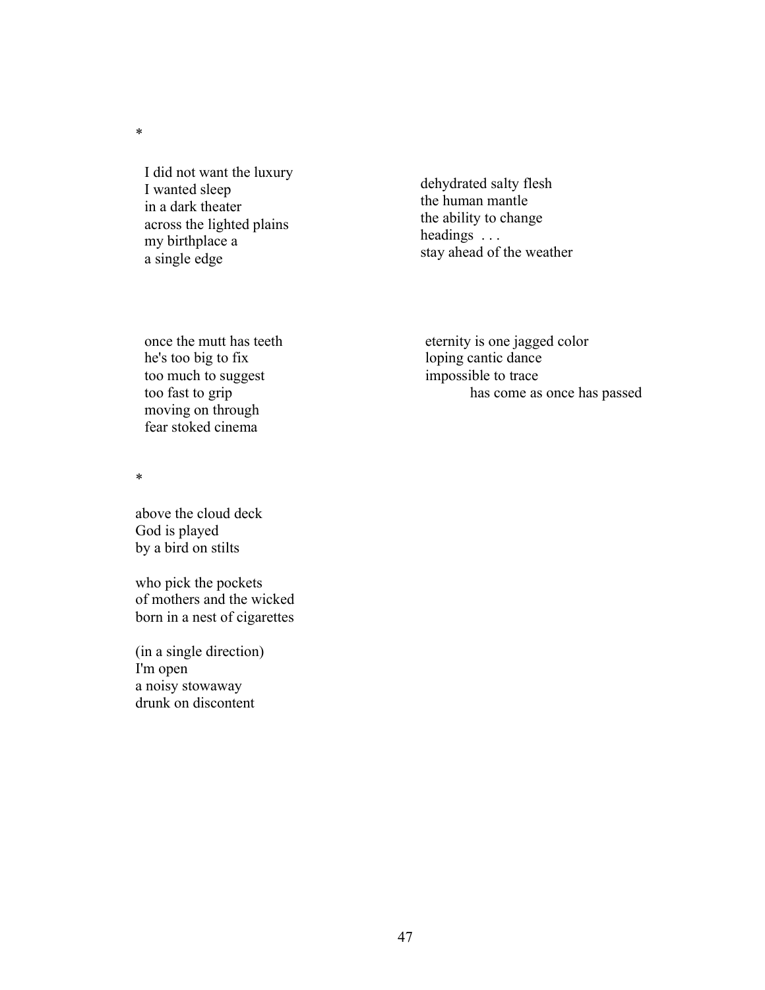I did not want the luxury I wanted sleep in a dark theater across the lighted plains my birthplace a a single edge

dehydrated salty flesh the human mantle the ability to change headings . . . stay ahead of the weather

once the mutt has teeth he's too big to fix too much to suggest too fast to grip moving on through fear stoked cinema

eternity is one jagged color loping cantic dance impossible to trace has come as once has passed

\*

above the cloud deck God is played by a bird on stilts

who pick the pockets of mothers and the wicked born in a nest of cigarettes

(in a single direction) I'm open a noisy stowaway drunk on discontent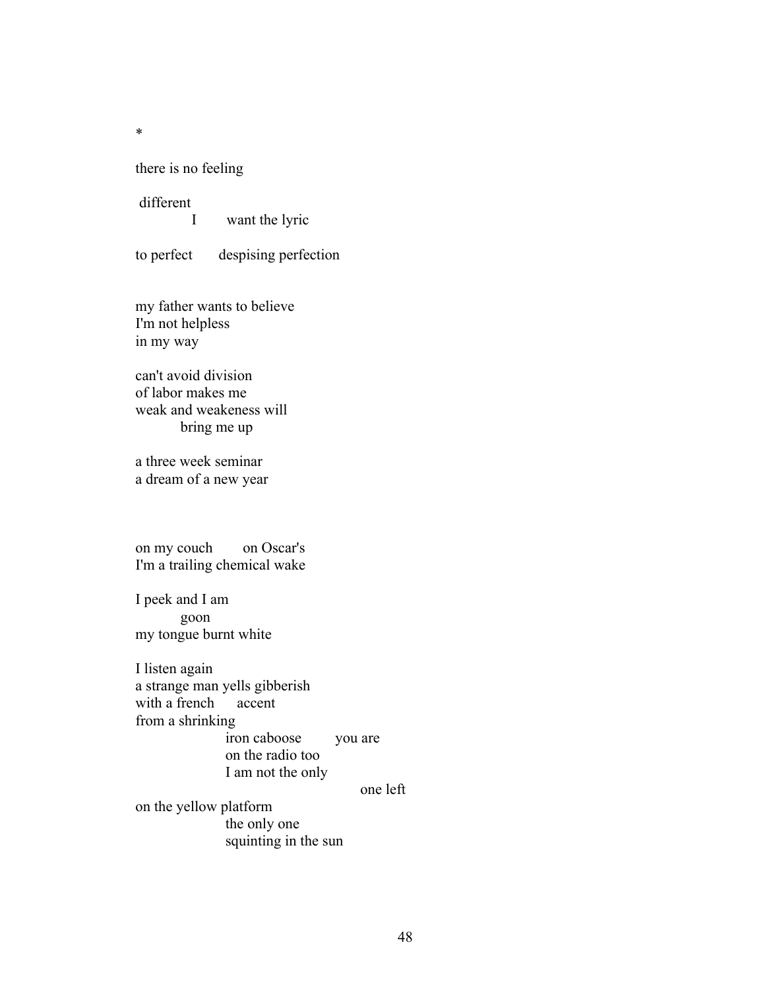there is no feeling

different

I want the lyric

to perfect despising perfection

my father wants to believe I'm not helpless in my way

can't avoid division of labor makes me weak and weakeness will bring me up

a three week seminar a dream of a new year

on my couch on Oscar's I'm a trailing chemical wake

I peek and I am goon my tongue burnt white

I listen again a strange man yells gibberish with a french from a shrinking iron caboose you are on the radio too I am not the only

one left

on the yellow platform the only one squinting in the sun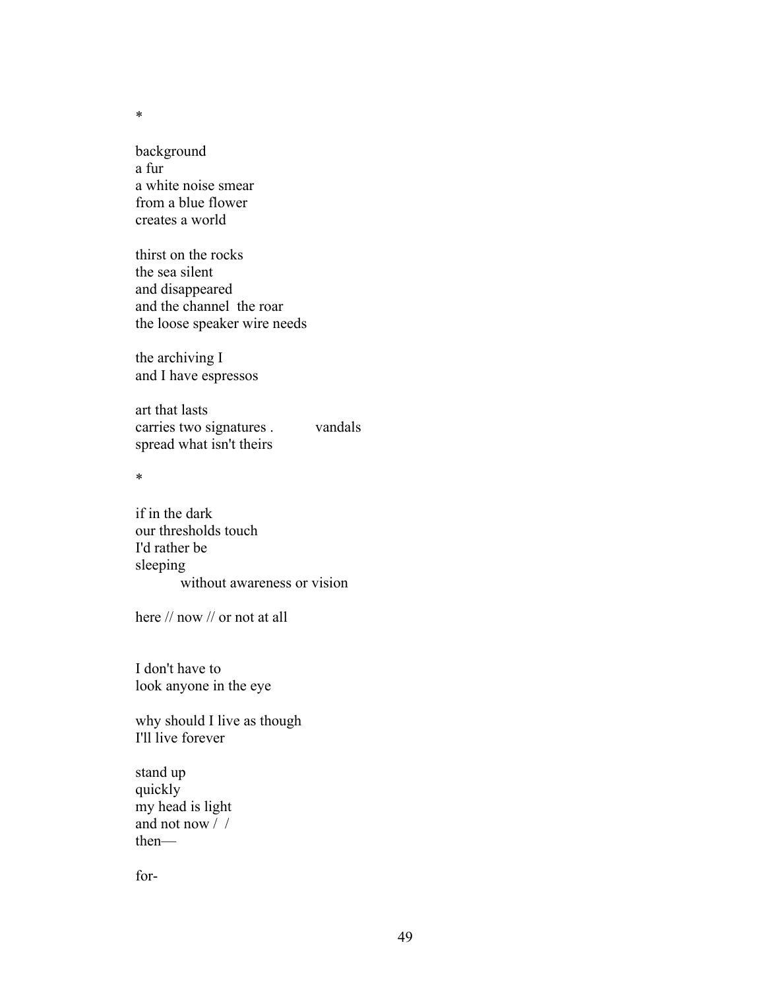background a fur a white noise smear from a blue flower creates a world

thirst on the rocks the sea silent and disappeared and the channel the roar the loose speaker wire needs

the archiving I and I have espressos

art that lasts carries two signatures . vandals spread what isn't theirs

\*

if in the dark our thresholds touch I'd rather be sleeping without awareness or vision

here // now // or not at all

I don't have to look anyone in the eye

why should I live as though I'll live forever

stand up quickly my head is light and not now / / then—

for-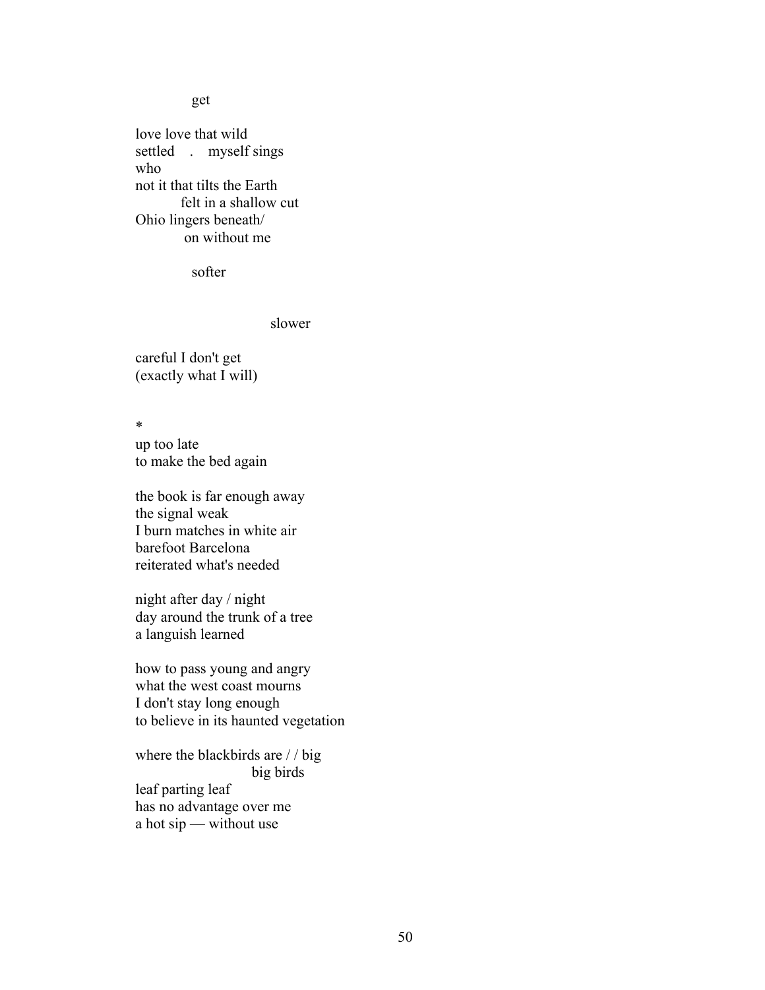#### get

love love that wild settled . myself sings who not it that tilts the Earth felt in a shallow cut Ohio lingers beneath/ on without me

softer

slower

careful I don't get (exactly what I will)

\*

up too late to make the bed again

the book is far enough away the signal weak I burn matches in white air barefoot Barcelona reiterated what's needed

night after day / night day around the trunk of a tree a languish learned

how to pass young and angry what the west coast mourns I don't stay long enough to believe in its haunted vegetation

where the blackbirds are / / big big birds leaf parting leaf has no advantage over me a hot sip — without use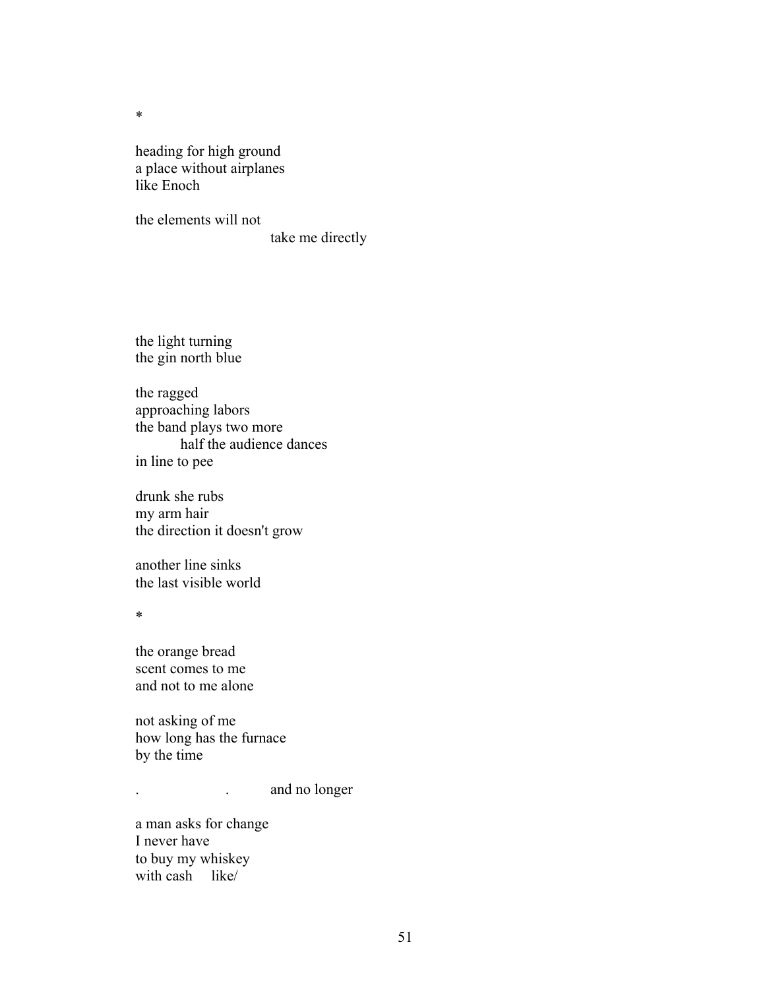heading for high ground a place without airplanes like Enoch

the elements will not take me directly

the light turning the gin north blue

the ragged approaching labors the band plays two more half the audience dances in line to pee

drunk she rubs my arm hair the direction it doesn't grow

another line sinks the last visible world

\*

the orange bread scent comes to me and not to me alone

not asking of me how long has the furnace by the time

. and no longer

a man asks for change I never have to buy my whiskey with cash like/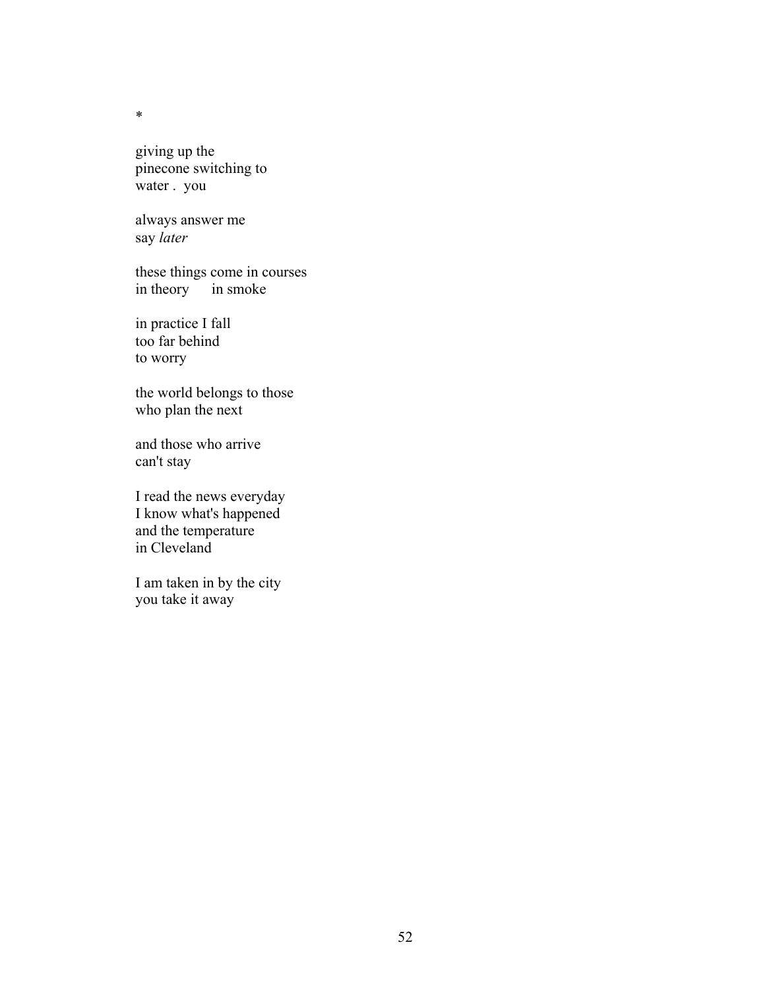giving up the pinecone switching to water . you

always answer me say *later*

these things come in courses in theory in smoke

in practice I fall too far behind to worry

the world belongs to those who plan the next

and those who arrive can't stay

I read the news everyday I know what's happened and the temperature in Cleveland

I am taken in by the city you take it away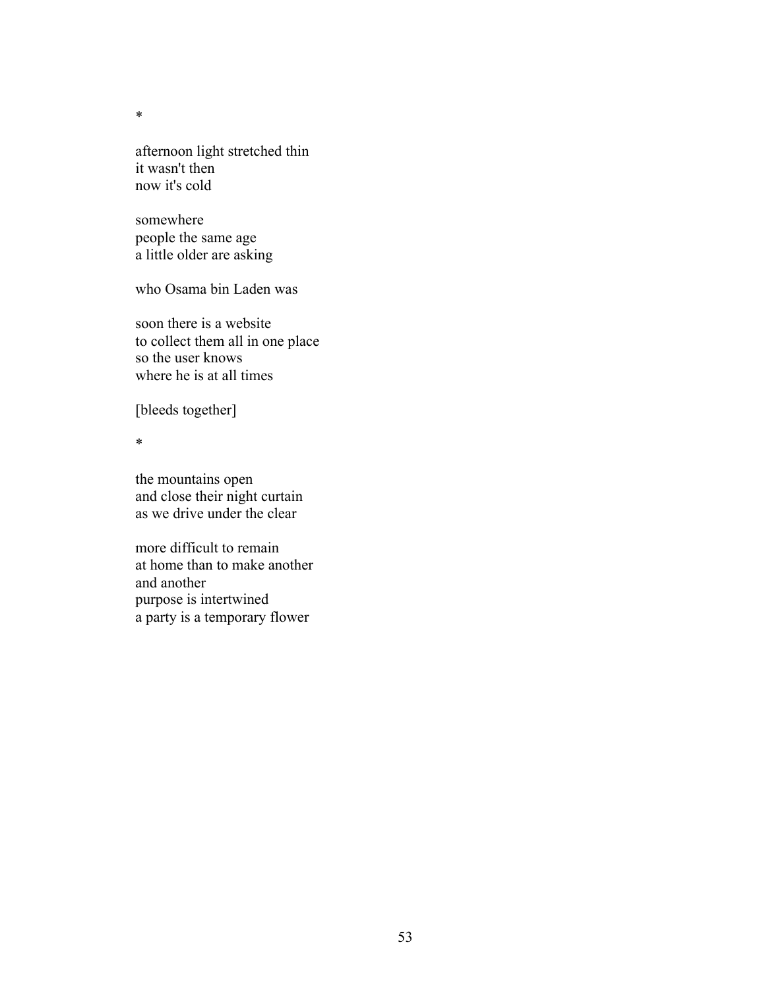afternoon light stretched thin it wasn't then now it's cold

somewhere people the same age a little older are asking

who Osama bin Laden was

soon there is a website to collect them all in one place so the user knows where he is at all times

[bleeds together]

\*

the mountains open and close their night curtain as we drive under the clear

more difficult to remain at home than to make another and another purpose is intertwined a party is a temporary flower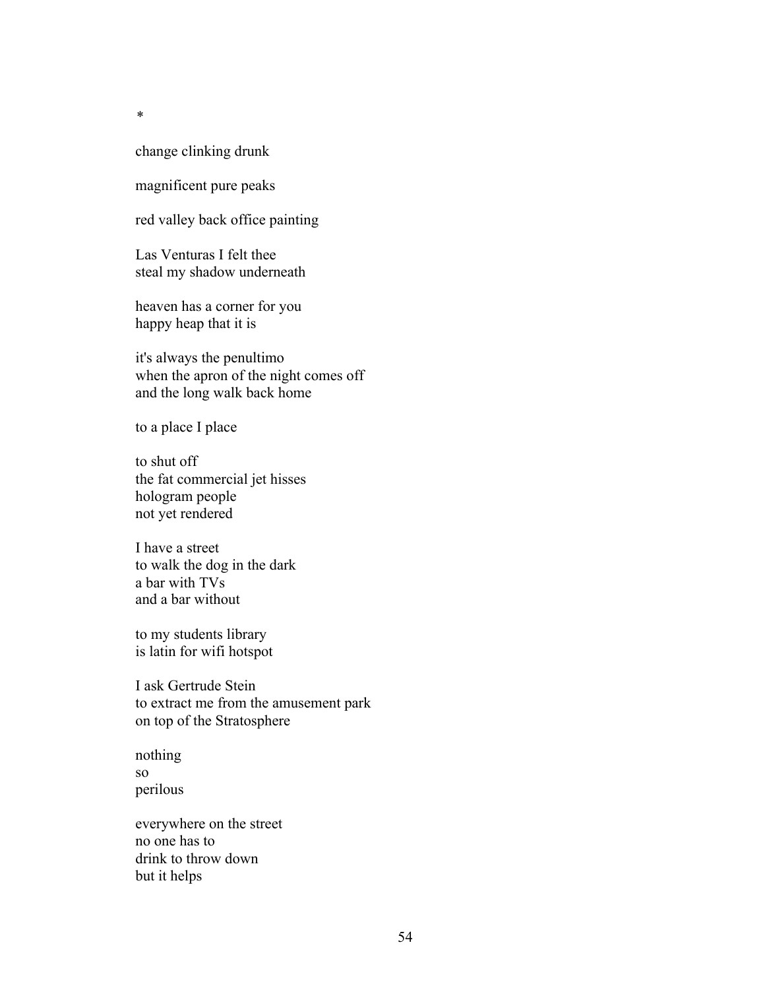change clinking drunk

magnificent pure peaks

red valley back office painting

Las Venturas I felt thee steal my shadow underneath

heaven has a corner for you happy heap that it is

it's always the penultimo when the apron of the night comes off and the long walk back home

to a place I place

to shut off the fat commercial jet hisses hologram people not yet rendered

I have a street to walk the dog in the dark a bar with TVs and a bar without

to my students library is latin for wifi hotspot

I ask Gertrude Stein to extract me from the amusement park on top of the Stratosphere

nothing so perilous

everywhere on the street no one has to drink to throw down but it helps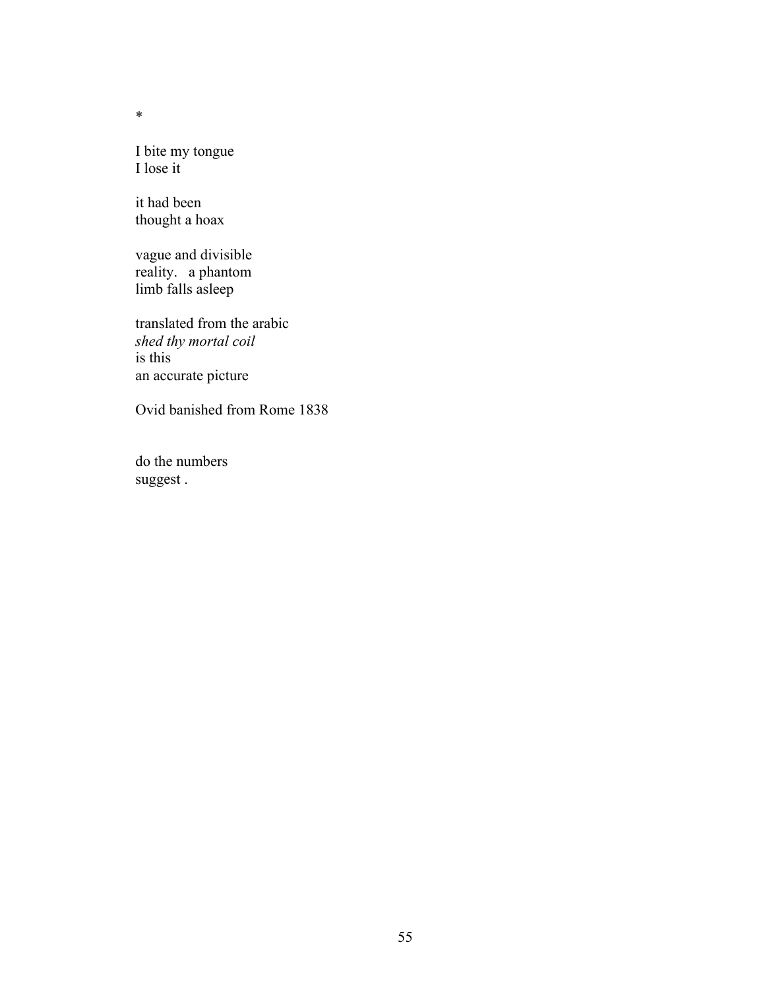I bite my tongue I lose it

it had been thought a hoax

vague and divisible reality. a phantom limb falls asleep

translated from the arabic *shed thy mortal coil* is this an accurate picture

Ovid banished from Rome 1838

do the numbers suggest .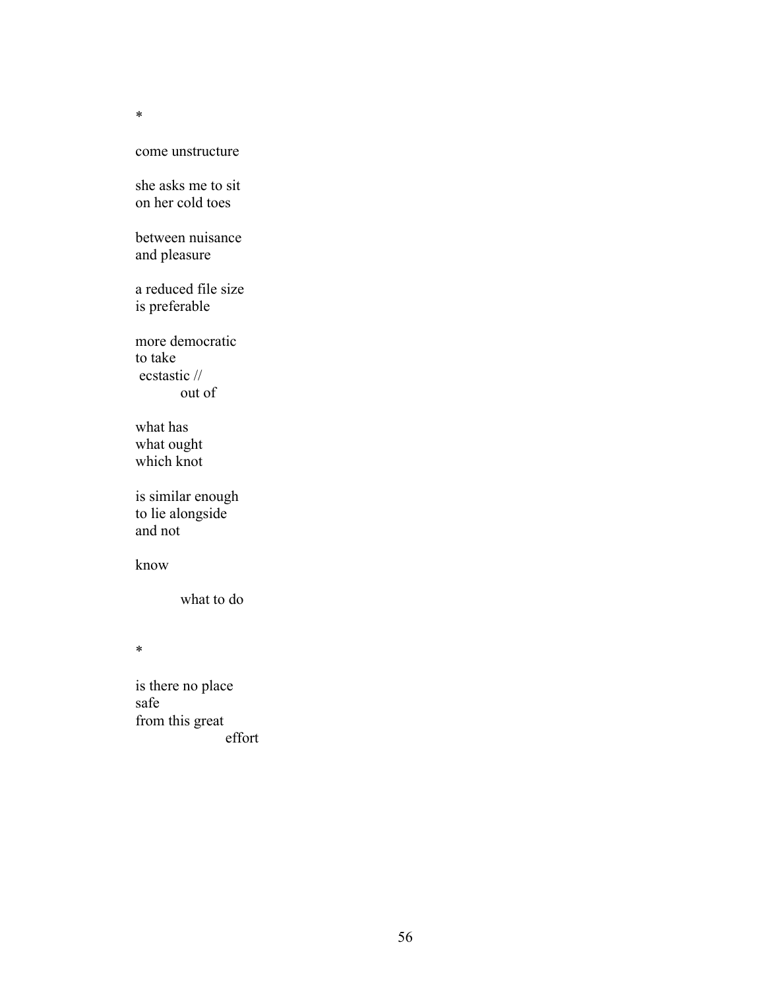### come unstructure

she asks me to sit on her cold toes

between nuisance and pleasure

a reduced file size is preferable

more democratic to take ecstastic // out of

what has what ought which knot

is similar enough to lie alongside and not

know

what to do

\*

is there no place safe from this great effort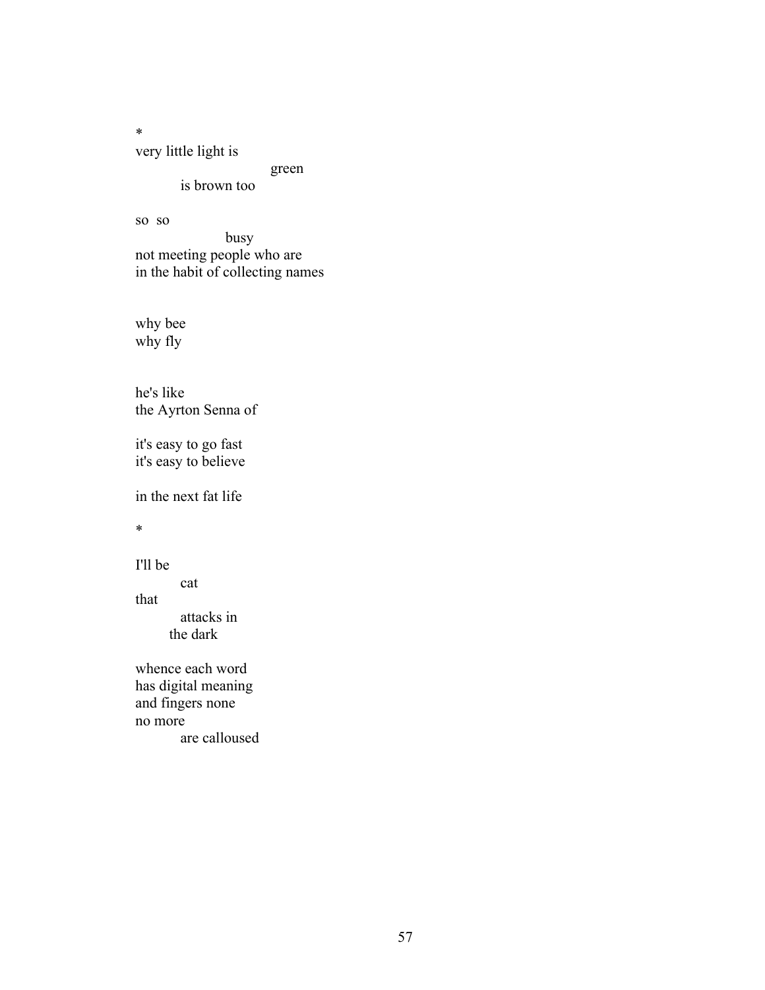very little light is

green

is brown too

so so

busy not meeting people who are in the habit of collecting names

why bee why fly

he's like the Ayrton Senna of

it's easy to go fast it's easy to believe

in the next fat life

\*

I'll be

cat that attacks in

the dark

whence each word has digital meaning and fingers none no more are calloused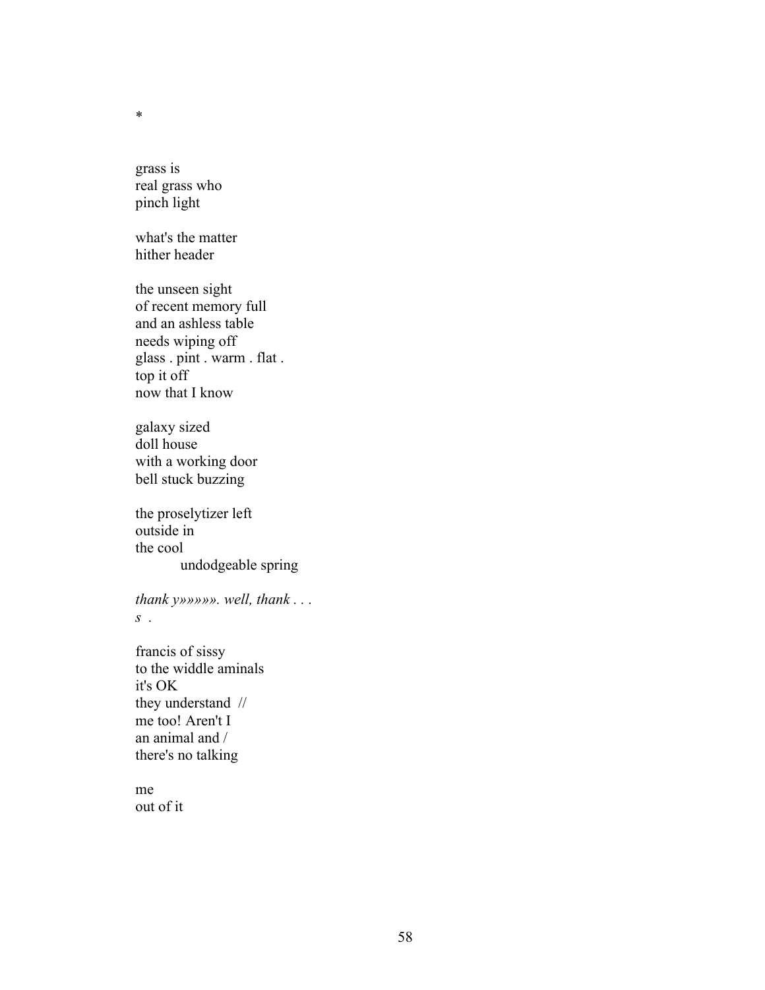grass is real grass who pinch light

what's the matter hither header

the unseen sight of recent memory full and an ashless table needs wiping off glass . pint . warm . flat . top it off now that I know

galaxy sized doll house with a working door bell stuck buzzing

the proselytizer left outside in the cool undodgeable spring

*thank y»»»»». well, thank . . . s .* 

francis of sissy to the widdle aminals it's OK they understand // me too! Aren't I an animal and / there's no talking

me out of it

\*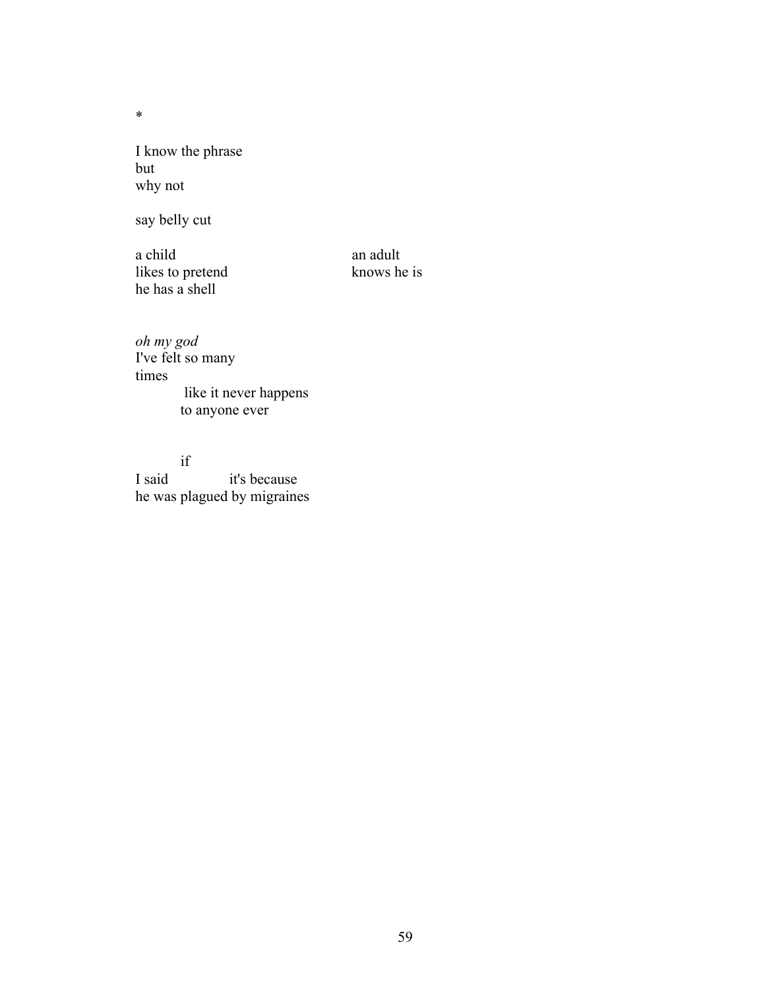I know the phrase but why not

say belly cut

a child<br>likes to pretend<br>have shown he is<br>hows he is likes to pretend he has a shell

*oh my god* I've felt so many times like it never happens to anyone ever

if I said it's because he was plagued by migraines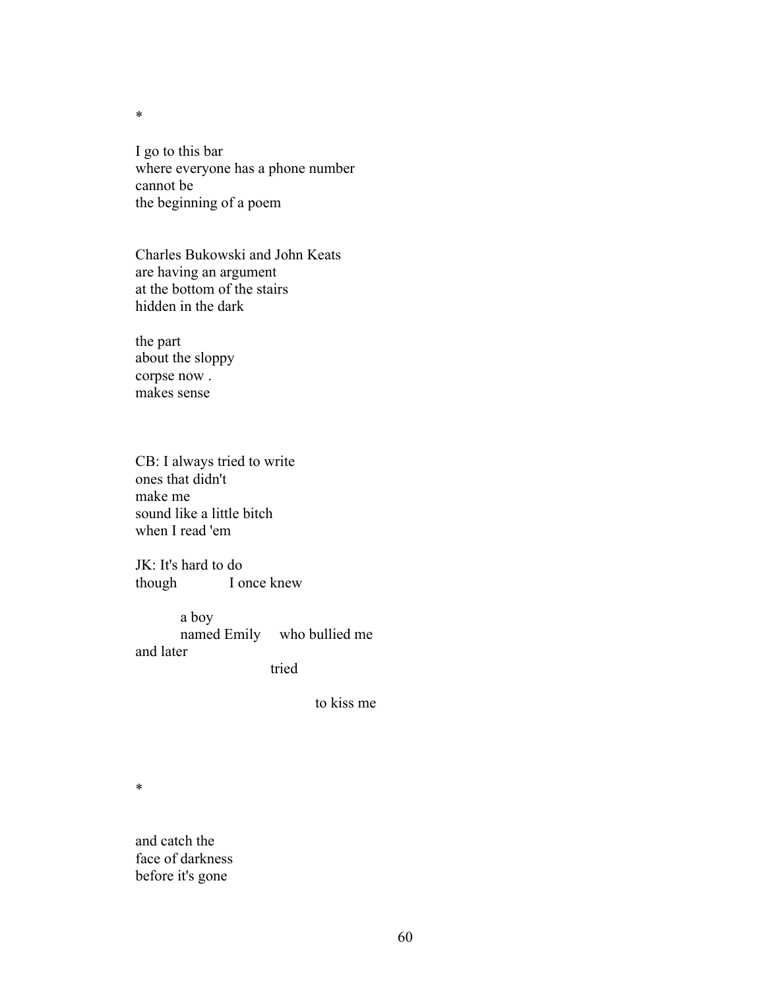I go to this bar where everyone has a phone number cannot be the beginning of a poem

Charles Bukowski and John Keats are having an argument at the bottom of the stairs hidden in the dark

the part about the sloppy corpse now . makes sense

CB: I always tried to write ones that didn't make me sound like a little bitch when I read 'em

JK: It's hard to do though I once knew

a boy<br>named Emily who bullied me and later

tried

to kiss me

\*

and catch the face of darkness before it's gone